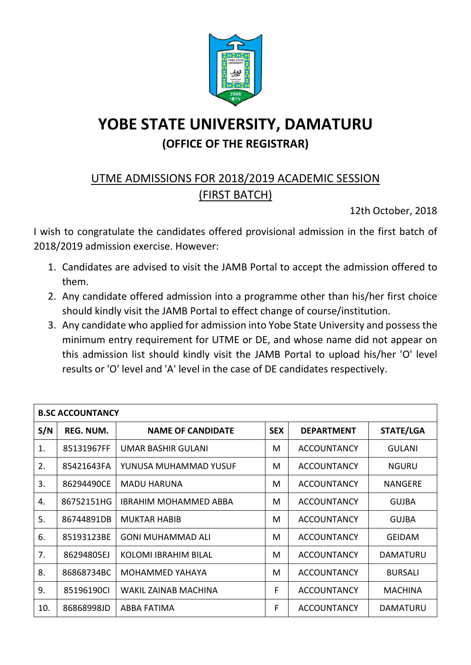

## **YOBE STATE UNIVERSITY, DAMATURU (OFFICE OF THE REGISTRAR)**

## UTME ADMISSIONS FOR 2018/2019 ACADEMIC SESSION (FIRST BATCH)

12th October, 2018

I wish to congratulate the candidates offered provisional admission in the first batch of 2018/2019 admission exercise. However:

- 1. Candidates are advised to visit the JAMB Portal to accept the admission offered to them.
- 2. Any candidate offered admission into a programme other than his/her first choice should kindly visit the JAMB Portal to effect change of course/institution.
- 3. Any candidate who applied for admission into Yobe State University and possess the minimum entry requirement for UTME or DE, and whose name did not appear on this admission list should kindly visit the JAMB Portal to upload his/her 'O' level results or 'O' level and 'A' level in the case of DE candidates respectively.

| <b>B.SC ACCOUNTANCY</b> |            |                              |            |                    |                 |  |  |
|-------------------------|------------|------------------------------|------------|--------------------|-----------------|--|--|
| S/N                     | REG. NUM.  | <b>NAME OF CANDIDATE</b>     | <b>SEX</b> | <b>DEPARTMENT</b>  | STATE/LGA       |  |  |
| 1.                      | 85131967FF | UMAR BASHIR GULANI           | M          | <b>ACCOUNTANCY</b> | <b>GULANI</b>   |  |  |
| 2.                      | 85421643FA | YUNUSA MUHAMMAD YUSUF        | M          | <b>ACCOUNTANCY</b> | <b>NGURU</b>    |  |  |
| 3.                      | 86294490CE | <b>MADU HARUNA</b>           | M          | <b>ACCOUNTANCY</b> | <b>NANGERE</b>  |  |  |
| 4.                      | 86752151HG | <b>IBRAHIM MOHAMMED ABBA</b> | M          | <b>ACCOUNTANCY</b> | <b>GUJBA</b>    |  |  |
| 5.                      | 86744891DB | <b>MUKTAR HABIB</b>          | M          | <b>ACCOUNTANCY</b> | <b>GUJBA</b>    |  |  |
| 6.                      | 85193123BE | <b>GONI MUHAMMAD ALI</b>     | M          | <b>ACCOUNTANCY</b> | <b>GEIDAM</b>   |  |  |
| 7.                      | 86294805EJ | KOLOMI IBRAHIM BILAL         | M          | <b>ACCOUNTANCY</b> | <b>DAMATURU</b> |  |  |
| 8.                      | 86868734BC | MOHAMMED YAHAYA              | M          | <b>ACCOUNTANCY</b> | <b>BURSALI</b>  |  |  |
| 9.                      | 85196190Cl | WAKIL ZAINAB MACHINA         | F          | <b>ACCOUNTANCY</b> | <b>MACHINA</b>  |  |  |
| 10.                     | 86868998JD | ABBA FATIMA                  | F          | <b>ACCOUNTANCY</b> | <b>DAMATURU</b> |  |  |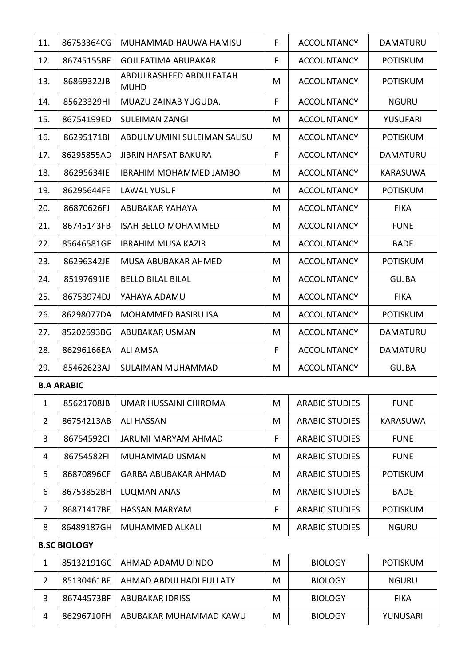| 11.            | 86753364CG          | MUHAMMAD HAUWA HAMISU                  | F. | <b>ACCOUNTANCY</b>    | <b>DAMATURU</b> |
|----------------|---------------------|----------------------------------------|----|-----------------------|-----------------|
| 12.            | 86745155BF          | <b>GOJI FATIMA ABUBAKAR</b>            | F  | <b>ACCOUNTANCY</b>    | <b>POTISKUM</b> |
| 13.            | 86869322JB          | ABDULRASHEED ABDULFATAH<br><b>MUHD</b> | M  | <b>ACCOUNTANCY</b>    | <b>POTISKUM</b> |
| 14.            | 85623329HI          | MUAZU ZAINAB YUGUDA.                   | F  | <b>ACCOUNTANCY</b>    | <b>NGURU</b>    |
| 15.            | 86754199ED          | <b>SULEIMAN ZANGI</b>                  | M  | <b>ACCOUNTANCY</b>    | <b>YUSUFARI</b> |
| 16.            | 86295171BI          | ABDULMUMINI SULEIMAN SALISU            | M  | <b>ACCOUNTANCY</b>    | <b>POTISKUM</b> |
| 17.            | 86295855AD          | <b>JIBRIN HAFSAT BAKURA</b>            | F  | <b>ACCOUNTANCY</b>    | DAMATURU        |
| 18.            | 86295634IE          | <b>IBRAHIM MOHAMMED JAMBO</b>          | M  | <b>ACCOUNTANCY</b>    | <b>KARASUWA</b> |
| 19.            | 86295644FE          | <b>LAWAL YUSUF</b>                     | M  | <b>ACCOUNTANCY</b>    | <b>POTISKUM</b> |
| 20.            | 86870626FJ          | <b>ABUBAKAR YAHAYA</b>                 | M  | <b>ACCOUNTANCY</b>    | <b>FIKA</b>     |
| 21.            | 86745143FB          | <b>ISAH BELLO MOHAMMED</b>             | M  | <b>ACCOUNTANCY</b>    | <b>FUNE</b>     |
| 22.            | 85646581GF          | <b>IBRAHIM MUSA KAZIR</b>              | M  | <b>ACCOUNTANCY</b>    | <b>BADE</b>     |
| 23.            | 86296342JE          | MUSA ABUBAKAR AHMED                    | M  | <b>ACCOUNTANCY</b>    | <b>POTISKUM</b> |
| 24.            | 85197691IE          | <b>BELLO BILAL BILAL</b>               | M  | <b>ACCOUNTANCY</b>    | <b>GUJBA</b>    |
| 25.            | 86753974DJ          | YAHAYA ADAMU                           | M  | <b>ACCOUNTANCY</b>    | <b>FIKA</b>     |
| 26.            | 86298077DA          | MOHAMMED BASIRU ISA                    | M  | <b>ACCOUNTANCY</b>    | <b>POTISKUM</b> |
| 27.            | 85202693BG          | ABUBAKAR USMAN                         | M  | <b>ACCOUNTANCY</b>    | DAMATURU        |
| 28.            | 86296166EA          | <b>ALI AMSA</b>                        | F  | <b>ACCOUNTANCY</b>    | <b>DAMATURU</b> |
| 29.            | 85462623AJ          | SULAIMAN MUHAMMAD                      | M  | <b>ACCOUNTANCY</b>    | <b>GUJBA</b>    |
|                | <b>B.A ARABIC</b>   |                                        |    |                       |                 |
| 1              | 85621708JB          | UMAR HUSSAINI CHIROMA                  | M  | <b>ARABIC STUDIES</b> | <b>FUNE</b>     |
| $\overline{2}$ | 86754213AB          | <b>ALI HASSAN</b>                      | M  | <b>ARABIC STUDIES</b> | <b>KARASUWA</b> |
| 3              | 86754592CI          | <b>JARUMI MARYAM AHMAD</b>             | F  | <b>ARABIC STUDIES</b> | <b>FUNE</b>     |
| 4              | 86754582FI          | <b>MUHAMMAD USMAN</b>                  | M  | <b>ARABIC STUDIES</b> | <b>FUNE</b>     |
| 5              | 86870896CF          | <b>GARBA ABUBAKAR AHMAD</b>            | M  | <b>ARABIC STUDIES</b> | <b>POTISKUM</b> |
| 6              | 86753852BH          | <b>LUQMAN ANAS</b>                     | M  | <b>ARABIC STUDIES</b> | <b>BADE</b>     |
| 7              | 86871417BE          | <b>HASSAN MARYAM</b>                   | F. | <b>ARABIC STUDIES</b> | <b>POTISKUM</b> |
| 8              | 86489187GH          | MUHAMMED ALKALI                        | M  | <b>ARABIC STUDIES</b> | <b>NGURU</b>    |
|                | <b>B.SC BIOLOGY</b> |                                        |    |                       |                 |
| $\mathbf{1}$   | 85132191GC          | AHMAD ADAMU DINDO                      | M  | <b>BIOLOGY</b>        | <b>POTISKUM</b> |
| $\overline{2}$ | 85130461BE          | AHMAD ABDULHADI FULLATY                | M  | <b>BIOLOGY</b>        | <b>NGURU</b>    |
| 3              | 86744573BF          | <b>ABUBAKAR IDRISS</b>                 | M  | <b>BIOLOGY</b>        | <b>FIKA</b>     |
| 4              | 86296710FH          | ABUBAKAR MUHAMMAD KAWU                 | M  | <b>BIOLOGY</b>        | YUNUSARI        |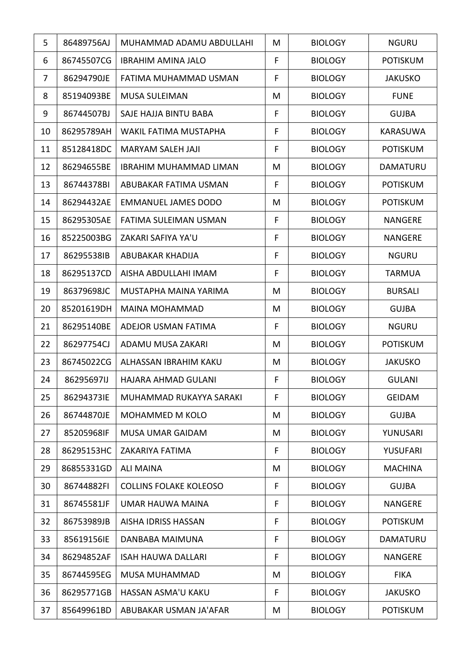| 5  | 86489756AJ | MUHAMMAD ADAMU ABDULLAHI      | M | <b>BIOLOGY</b> | <b>NGURU</b>    |
|----|------------|-------------------------------|---|----------------|-----------------|
| 6  | 86745507CG | <b>IBRAHIM AMINA JALO</b>     | F | <b>BIOLOGY</b> | <b>POTISKUM</b> |
| 7  | 86294790JE | FATIMA MUHAMMAD USMAN         | F | <b>BIOLOGY</b> | <b>JAKUSKO</b>  |
| 8  | 85194093BE | <b>MUSA SULEIMAN</b>          | M | <b>BIOLOGY</b> | <b>FUNE</b>     |
| 9  | 86744507BJ | SAJE HAJJA BINTU BABA         | F | <b>BIOLOGY</b> | <b>GUJBA</b>    |
| 10 | 86295789AH | WAKIL FATIMA MUSTAPHA         | F | <b>BIOLOGY</b> | <b>KARASUWA</b> |
| 11 | 85128418DC | <b>MARYAM SALEH JAJI</b>      | F | <b>BIOLOGY</b> | <b>POTISKUM</b> |
| 12 | 86294655BE | <b>IBRAHIM MUHAMMAD LIMAN</b> | M | <b>BIOLOGY</b> | <b>DAMATURU</b> |
| 13 | 86744378BI | ABUBAKAR FATIMA USMAN         | F | <b>BIOLOGY</b> | <b>POTISKUM</b> |
| 14 | 86294432AE | <b>EMMANUEL JAMES DODO</b>    | M | <b>BIOLOGY</b> | <b>POTISKUM</b> |
| 15 | 86295305AE | <b>FATIMA SULEIMAN USMAN</b>  | F | <b>BIOLOGY</b> | <b>NANGERE</b>  |
| 16 | 85225003BG | ZAKARI SAFIYA YA'U            | F | <b>BIOLOGY</b> | <b>NANGERE</b>  |
| 17 | 86295538IB | ABUBAKAR KHADIJA              | F | <b>BIOLOGY</b> | <b>NGURU</b>    |
| 18 | 86295137CD | AISHA ABDULLAHI IMAM          | F | <b>BIOLOGY</b> | TARMUA          |
| 19 | 86379698JC | MUSTAPHA MAINA YARIMA         | M | <b>BIOLOGY</b> | <b>BURSALI</b>  |
| 20 | 85201619DH | <b>MAINA MOHAMMAD</b>         | M | <b>BIOLOGY</b> | <b>GUJBA</b>    |
| 21 | 86295140BE | ADEJOR USMAN FATIMA           | F | <b>BIOLOGY</b> | <b>NGURU</b>    |
| 22 | 86297754CJ | ADAMU MUSA ZAKARI             | M | <b>BIOLOGY</b> | <b>POTISKUM</b> |
| 23 | 86745022CG | ALHASSAN IBRAHIM KAKU         | M | <b>BIOLOGY</b> | <b>JAKUSKO</b>  |
| 24 | 86295697IJ | <b>HAJARA AHMAD GULANI</b>    | F | <b>BIOLOGY</b> | <b>GULANI</b>   |
| 25 | 86294373IE | MUHAMMAD RUKAYYA SARAKI       | F | <b>BIOLOGY</b> | <b>GEIDAM</b>   |
| 26 | 86744870JE | MOHAMMED M KOLO               | M | <b>BIOLOGY</b> | <b>GUJBA</b>    |
| 27 | 85205968IF | <b>MUSA UMAR GAIDAM</b>       | M | <b>BIOLOGY</b> | YUNUSARI        |
| 28 | 86295153HC | ZAKARIYA FATIMA               | F | <b>BIOLOGY</b> | YUSUFARI        |
| 29 | 86855331GD | <b>ALI MAINA</b>              | M | <b>BIOLOGY</b> | <b>MACHINA</b>  |
| 30 | 86744882FI | <b>COLLINS FOLAKE KOLEOSO</b> | F | <b>BIOLOGY</b> | <b>GUJBA</b>    |
| 31 | 86745581JF | UMAR HAUWA MAINA              | F | <b>BIOLOGY</b> | <b>NANGERE</b>  |
| 32 | 86753989JB | <b>AISHA IDRISS HASSAN</b>    | F | <b>BIOLOGY</b> | <b>POTISKUM</b> |
| 33 | 85619156IE | DANBABA MAIMUNA               | F | <b>BIOLOGY</b> | <b>DAMATURU</b> |
| 34 | 86294852AF | <b>ISAH HAUWA DALLARI</b>     | F | <b>BIOLOGY</b> | <b>NANGERE</b>  |
| 35 | 86744595EG | <b>MUSA MUHAMMAD</b>          | М | <b>BIOLOGY</b> | <b>FIKA</b>     |
| 36 | 86295771GB | HASSAN ASMA'U KAKU            | F | <b>BIOLOGY</b> | <b>JAKUSKO</b>  |
| 37 | 85649961BD | ABUBAKAR USMAN JA'AFAR        | M | <b>BIOLOGY</b> | <b>POTISKUM</b> |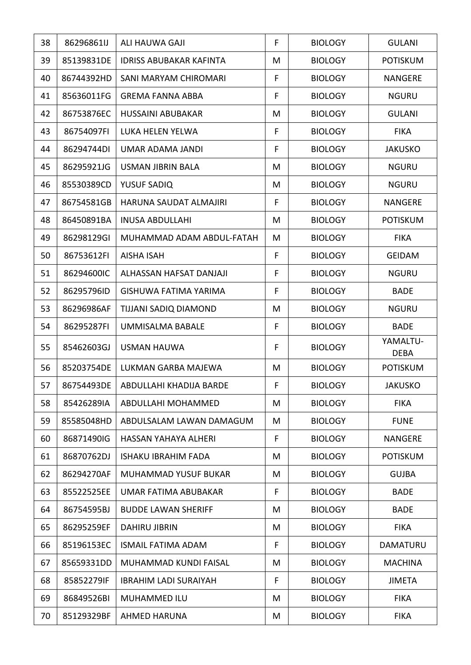| 38 | 86296861IJ | ALI HAUWA GAJI                       | F           | <b>BIOLOGY</b> | <b>GULANI</b>           |
|----|------------|--------------------------------------|-------------|----------------|-------------------------|
| 39 | 85139831DE | <b>IDRISS ABUBAKAR KAFINTA</b>       | M           | <b>BIOLOGY</b> | <b>POTISKUM</b>         |
| 40 | 86744392HD | SANI MARYAM CHIROMARI                | F           | <b>BIOLOGY</b> | <b>NANGERE</b>          |
| 41 | 85636011FG | <b>GREMA FANNA ABBA</b>              | F           | <b>BIOLOGY</b> | <b>NGURU</b>            |
| 42 | 86753876EC | <b>HUSSAINI ABUBAKAR</b>             | M           | <b>BIOLOGY</b> | <b>GULANI</b>           |
| 43 | 86754097FI | LUKA HELEN YELWA                     | F           | <b>BIOLOGY</b> | <b>FIKA</b>             |
| 44 | 86294744DI | UMAR ADAMA JANDI                     | F           | <b>BIOLOGY</b> | <b>JAKUSKO</b>          |
| 45 | 86295921JG | <b>USMAN JIBRIN BALA</b>             | M           | <b>BIOLOGY</b> | <b>NGURU</b>            |
| 46 | 85530389CD | YUSUF SADIQ                          | M           | <b>BIOLOGY</b> | <b>NGURU</b>            |
| 47 | 86754581GB | HARUNA SAUDAT ALMAJIRI               | F           | <b>BIOLOGY</b> | <b>NANGERE</b>          |
| 48 | 86450891BA | <b>INUSA ABDULLAHI</b>               | M           | <b>BIOLOGY</b> | <b>POTISKUM</b>         |
| 49 | 86298129GI | MUHAMMAD ADAM ABDUL-FATAH            | M           | <b>BIOLOGY</b> | <b>FIKA</b>             |
| 50 | 86753612FI | <b>AISHA ISAH</b>                    | F           | <b>BIOLOGY</b> | <b>GEIDAM</b>           |
| 51 | 86294600IC | ALHASSAN HAFSAT DANJAJI              | F           | <b>BIOLOGY</b> | <b>NGURU</b>            |
| 52 | 86295796ID | GISHUWA FATIMA YARIMA                | $\mathsf F$ | <b>BIOLOGY</b> | <b>BADE</b>             |
| 53 | 86296986AF | TIJJANI SADIQ DIAMOND                | M           | <b>BIOLOGY</b> | <b>NGURU</b>            |
| 54 | 86295287FI | UMMISALMA BABALE                     | F           | <b>BIOLOGY</b> | <b>BADE</b>             |
| 55 | 85462603GJ | <b>USMAN HAUWA</b>                   | F           | <b>BIOLOGY</b> | YAMALTU-<br><b>DEBA</b> |
| 56 | 85203754DE | LUKMAN GARBA MAJEWA                  | M           | <b>BIOLOGY</b> | <b>POTISKUM</b>         |
| 57 |            | 86754493DE   ABDULLAHI KHADIJA BARDE | F.          | <b>BIOLOGY</b> | <b>JAKUSKO</b>          |
| 58 | 85426289IA | ABDULLAHI MOHAMMED                   | M           | <b>BIOLOGY</b> | <b>FIKA</b>             |
| 59 | 85585048HD | ABDULSALAM LAWAN DAMAGUM             | M           | <b>BIOLOGY</b> | <b>FUNE</b>             |
| 60 | 86871490IG | HASSAN YAHAYA ALHERI                 | F           | <b>BIOLOGY</b> | <b>NANGERE</b>          |
| 61 | 86870762DJ | <b>ISHAKU IBRAHIM FADA</b>           | M           | <b>BIOLOGY</b> | <b>POTISKUM</b>         |
| 62 | 86294270AF | MUHAMMAD YUSUF BUKAR                 | M           | <b>BIOLOGY</b> | <b>GUJBA</b>            |
| 63 | 85522525EE | UMAR FATIMA ABUBAKAR                 | F           | <b>BIOLOGY</b> | <b>BADE</b>             |
| 64 | 86754595BJ | <b>BUDDE LAWAN SHERIFF</b>           | M           | <b>BIOLOGY</b> | <b>BADE</b>             |
| 65 | 86295259EF | <b>DAHIRU JIBRIN</b>                 | M           | <b>BIOLOGY</b> | <b>FIKA</b>             |
| 66 | 85196153EC | <b>ISMAIL FATIMA ADAM</b>            | F           | <b>BIOLOGY</b> | <b>DAMATURU</b>         |
| 67 | 85659331DD | MUHAMMAD KUNDI FAISAL                | M           | <b>BIOLOGY</b> | <b>MACHINA</b>          |
| 68 | 85852279IF | <b>IBRAHIM LADI SURAIYAH</b>         | F           | <b>BIOLOGY</b> | <b>JIMETA</b>           |
| 69 | 86849526BI | <b>MUHAMMED ILU</b>                  | M           | <b>BIOLOGY</b> | <b>FIKA</b>             |
| 70 | 85129329BF | <b>AHMED HARUNA</b>                  | M           | <b>BIOLOGY</b> | <b>FIKA</b>             |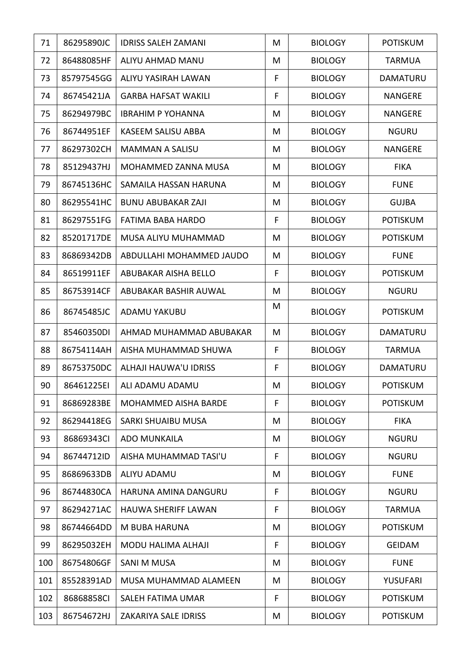| 71  | 86295890JC | <b>IDRISS SALEH ZAMANI</b>  | M  | <b>BIOLOGY</b> | <b>POTISKUM</b> |
|-----|------------|-----------------------------|----|----------------|-----------------|
| 72  | 86488085HF | ALIYU AHMAD MANU            | M  | <b>BIOLOGY</b> | <b>TARMUA</b>   |
| 73  | 85797545GG | ALIYU YASIRAH LAWAN         | F  | <b>BIOLOGY</b> | <b>DAMATURU</b> |
| 74  | 86745421JA | <b>GARBA HAFSAT WAKILI</b>  | F  | <b>BIOLOGY</b> | <b>NANGERE</b>  |
| 75  | 86294979BC | <b>IBRAHIM P YOHANNA</b>    | M  | <b>BIOLOGY</b> | <b>NANGERE</b>  |
| 76  | 86744951EF | <b>KASEEM SALISU ABBA</b>   | M  | <b>BIOLOGY</b> | <b>NGURU</b>    |
| 77  | 86297302CH | <b>MAMMAN A SALISU</b>      | M  | <b>BIOLOGY</b> | <b>NANGERE</b>  |
| 78  | 85129437HJ | MOHAMMED ZANNA MUSA         | M  | <b>BIOLOGY</b> | <b>FIKA</b>     |
| 79  | 86745136HC | SAMAILA HASSAN HARUNA       | M  | <b>BIOLOGY</b> | <b>FUNE</b>     |
| 80  | 86295541HC | <b>BUNU ABUBAKAR ZAJI</b>   | M  | <b>BIOLOGY</b> | <b>GUJBA</b>    |
| 81  | 86297551FG | <b>FATIMA BABA HARDO</b>    | F  | <b>BIOLOGY</b> | <b>POTISKUM</b> |
| 82  | 85201717DE | MUSA ALIYU MUHAMMAD         | M  | <b>BIOLOGY</b> | <b>POTISKUM</b> |
| 83  | 86869342DB | ABDULLAHI MOHAMMED JAUDO    | M  | <b>BIOLOGY</b> | <b>FUNE</b>     |
| 84  | 86519911EF | ABUBAKAR AISHA BELLO        | F  | <b>BIOLOGY</b> | <b>POTISKUM</b> |
| 85  | 86753914CF | ABUBAKAR BASHIR AUWAL       | M  | <b>BIOLOGY</b> | <b>NGURU</b>    |
| 86  | 86745485JC | ADAMU YAKUBU                | M  | <b>BIOLOGY</b> | <b>POTISKUM</b> |
| 87  | 85460350DI | AHMAD MUHAMMAD ABUBAKAR     | M  | <b>BIOLOGY</b> | <b>DAMATURU</b> |
| 88  | 86754114AH | AISHA MUHAMMAD SHUWA        | F  | <b>BIOLOGY</b> | <b>TARMUA</b>   |
| 89  | 86753750DC | ALHAJI HAUWA'U IDRISS       | F  | <b>BIOLOGY</b> | <b>DAMATURU</b> |
| 90  | 86461225EI | ALI ADAMU ADAMU             | M  | <b>BIOLOGY</b> | <b>POTISKUM</b> |
| 91  | 86869283BE | <b>MOHAMMED AISHA BARDE</b> | F  | <b>BIOLOGY</b> | <b>POTISKUM</b> |
| 92  | 86294418EG | <b>SARKI SHUAIBU MUSA</b>   | M  | <b>BIOLOGY</b> | <b>FIKA</b>     |
| 93  | 86869343CI | <b>ADO MUNKAILA</b>         | M  | <b>BIOLOGY</b> | <b>NGURU</b>    |
| 94  | 86744712ID | AISHA MUHAMMAD TASI'U       | F  | <b>BIOLOGY</b> | <b>NGURU</b>    |
| 95  | 86869633DB | <b>ALIYU ADAMU</b>          | M  | <b>BIOLOGY</b> | <b>FUNE</b>     |
| 96  | 86744830CA | HARUNA AMINA DANGURU        | F  | <b>BIOLOGY</b> | <b>NGURU</b>    |
| 97  | 86294271AC | <b>HAUWA SHERIFF LAWAN</b>  | F. | <b>BIOLOGY</b> | <b>TARMUA</b>   |
| 98  | 86744664DD | M BUBA HARUNA               | M  | <b>BIOLOGY</b> | <b>POTISKUM</b> |
| 99  | 86295032EH | <b>MODU HALIMA ALHAJI</b>   | F  | <b>BIOLOGY</b> | <b>GEIDAM</b>   |
| 100 | 86754806GF | <b>SANI M MUSA</b>          | M  | <b>BIOLOGY</b> | <b>FUNE</b>     |
| 101 | 85528391AD | MUSA MUHAMMAD ALAMEEN       | M  | <b>BIOLOGY</b> | YUSUFARI        |
| 102 | 86868858CI | SALEH FATIMA UMAR           | F  | <b>BIOLOGY</b> | <b>POTISKUM</b> |
| 103 | 86754672HJ | ZAKARIYA SALE IDRISS        | M  | <b>BIOLOGY</b> | <b>POTISKUM</b> |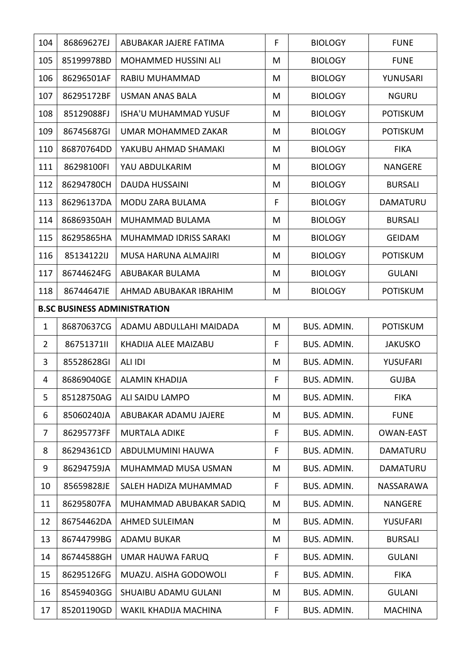| 104            | 86869627EJ                          | ABUBAKAR JAJERE FATIMA       | F | <b>BIOLOGY</b>     | <b>FUNE</b>      |  |  |  |
|----------------|-------------------------------------|------------------------------|---|--------------------|------------------|--|--|--|
| 105            | 85199978BD                          | <b>MOHAMMED HUSSINI ALI</b>  | M | <b>BIOLOGY</b>     | <b>FUNE</b>      |  |  |  |
| 106            | 86296501AF                          | RABIU MUHAMMAD               | M | <b>BIOLOGY</b>     | YUNUSARI         |  |  |  |
| 107            | 86295172BF                          | <b>USMAN ANAS BALA</b>       | M | <b>BIOLOGY</b>     | <b>NGURU</b>     |  |  |  |
| 108            | 85129088FJ                          | <b>ISHA'U MUHAMMAD YUSUF</b> | M | <b>BIOLOGY</b>     | <b>POTISKUM</b>  |  |  |  |
| 109            | 86745687GI                          | UMAR MOHAMMED ZAKAR          | M | <b>BIOLOGY</b>     | <b>POTISKUM</b>  |  |  |  |
| 110            | 86870764DD                          | YAKUBU AHMAD SHAMAKI         | M | <b>BIOLOGY</b>     | <b>FIKA</b>      |  |  |  |
| 111            | 86298100FI                          | YAU ABDULKARIM               | M | <b>BIOLOGY</b>     | <b>NANGERE</b>   |  |  |  |
| 112            | 86294780CH                          | <b>DAUDA HUSSAINI</b>        | M | <b>BIOLOGY</b>     | <b>BURSALI</b>   |  |  |  |
| 113            | 86296137DA                          | MODU ZARA BULAMA             | F | <b>BIOLOGY</b>     | DAMATURU         |  |  |  |
| 114            | 86869350AH                          | MUHAMMAD BULAMA              | M | <b>BIOLOGY</b>     | <b>BURSALI</b>   |  |  |  |
| 115            | 86295865HA                          | MUHAMMAD IDRISS SARAKI       | M | <b>BIOLOGY</b>     | <b>GEIDAM</b>    |  |  |  |
| 116            | 85134122IJ                          | MUSA HARUNA ALMAJIRI         | M | <b>BIOLOGY</b>     | <b>POTISKUM</b>  |  |  |  |
| 117            | 86744624FG                          | ABUBAKAR BULAMA              | M | <b>BIOLOGY</b>     | <b>GULANI</b>    |  |  |  |
| 118            | 86744647IE                          | AHMAD ABUBAKAR IBRAHIM       | M | <b>BIOLOGY</b>     | <b>POTISKUM</b>  |  |  |  |
|                | <b>B.SC BUSINESS ADMINISTRATION</b> |                              |   |                    |                  |  |  |  |
| $\mathbf{1}$   | 86870637CG                          | ADAMU ABDULLAHI MAIDADA      | M | <b>BUS. ADMIN.</b> | <b>POTISKUM</b>  |  |  |  |
| $\overline{2}$ | 8675137111                          | KHADIJA ALEE MAIZABU         | F | <b>BUS. ADMIN.</b> | <b>JAKUSKO</b>   |  |  |  |
| 3              | 85528628GI                          | ALI IDI                      | M | <b>BUS. ADMIN.</b> | <b>YUSUFARI</b>  |  |  |  |
| 4              | 86869040GE                          | <b>ALAMIN KHADIJA</b>        | F | <b>BUS. ADMIN.</b> | <b>GUJBA</b>     |  |  |  |
| 5              | 85128750AG                          | <b>ALI SAIDU LAMPO</b>       | M | <b>BUS. ADMIN.</b> | <b>FIKA</b>      |  |  |  |
| 6              | 85060240JA                          | ABUBAKAR ADAMU JAJERE        | M | BUS. ADMIN.        | <b>FUNE</b>      |  |  |  |
| 7              | 86295773FF                          | <b>MURTALA ADIKE</b>         | F | BUS. ADMIN.        | <b>OWAN-EAST</b> |  |  |  |
| 8              | 86294361CD                          | ABDULMUMINI HAUWA            | F | <b>BUS. ADMIN.</b> | DAMATURU         |  |  |  |
| 9              | 86294759JA                          | MUHAMMAD MUSA USMAN          | M | <b>BUS. ADMIN.</b> | DAMATURU         |  |  |  |
| 10             | 85659828JE                          | SALEH HADIZA MUHAMMAD        | F | BUS. ADMIN.        | <b>NASSARAWA</b> |  |  |  |
| 11             | 86295807FA                          | MUHAMMAD ABUBAKAR SADIQ      | Μ | <b>BUS. ADMIN.</b> | NANGERE          |  |  |  |
| 12             | 86754462DA                          | <b>AHMED SULEIMAN</b>        | M | <b>BUS. ADMIN.</b> | YUSUFARI         |  |  |  |
| 13             | 86744799BG                          | <b>ADAMU BUKAR</b>           | M | BUS. ADMIN.        | <b>BURSALI</b>   |  |  |  |
| 14             | 86744588GH                          | UMAR HAUWA FARUQ             | F | BUS. ADMIN.        | <b>GULANI</b>    |  |  |  |
| 15             | 86295126FG                          | MUAZU. AISHA GODOWOLI        | F | BUS. ADMIN.        | <b>FIKA</b>      |  |  |  |
| 16             | 85459403GG                          | SHUAIBU ADAMU GULANI         | M | BUS. ADMIN.        | <b>GULANI</b>    |  |  |  |
| 17             | 85201190GD                          | WAKIL KHADIJA MACHINA        | F | BUS. ADMIN.        | <b>MACHINA</b>   |  |  |  |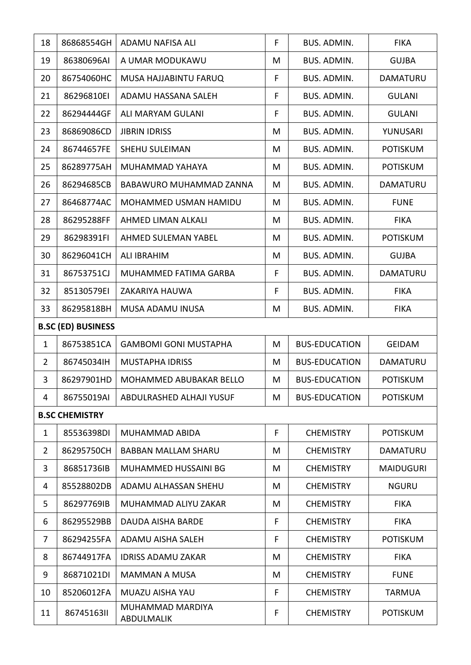| 18             | 86868554GH                | ADAMU NAFISA ALI               | F. | <b>BUS. ADMIN.</b>   | <b>FIKA</b>      |
|----------------|---------------------------|--------------------------------|----|----------------------|------------------|
| 19             | 86380696AI                | A UMAR MODUKAWU                | M  | BUS. ADMIN.          | <b>GUJBA</b>     |
| 20             | 86754060HC                | MUSA HAJJABINTU FARUQ          | F  | BUS. ADMIN.          | DAMATURU         |
| 21             | 86296810EI                | ADAMU HASSANA SALEH            | F  | BUS. ADMIN.          | <b>GULANI</b>    |
| 22             | 86294444GF                | ALI MARYAM GULANI              | F  | BUS. ADMIN.          | <b>GULANI</b>    |
| 23             | 86869086CD                | <b>JIBRIN IDRISS</b>           | M  | BUS. ADMIN.          | YUNUSARI         |
| 24             | 86744657FE                | <b>SHEHU SULEIMAN</b>          | M  | <b>BUS. ADMIN.</b>   | <b>POTISKUM</b>  |
| 25             | 86289775AH                | MUHAMMAD YAHAYA                | M  | <b>BUS. ADMIN.</b>   | <b>POTISKUM</b>  |
| 26             | 86294685CB                | BABAWURO MUHAMMAD ZANNA        | M  | <b>BUS. ADMIN.</b>   | <b>DAMATURU</b>  |
| 27             | 86468774AC                | MOHAMMED USMAN HAMIDU          | M  | BUS. ADMIN.          | <b>FUNE</b>      |
| 28             | 86295288FF                | AHMED LIMAN ALKALI             | M  | <b>BUS. ADMIN.</b>   | <b>FIKA</b>      |
| 29             | 86298391FI                | AHMED SULEMAN YABEL            | M  | BUS. ADMIN.          | <b>POTISKUM</b>  |
| 30             | 86296041CH                | <b>ALI IBRAHIM</b>             | M  | BUS. ADMIN.          | <b>GUJBA</b>     |
| 31             | 86753751CJ                | MUHAMMED FATIMA GARBA          | F  | BUS. ADMIN.          | DAMATURU         |
| 32             | 85130579EI                | ZAKARIYA HAUWA                 | F  | <b>BUS. ADMIN.</b>   | <b>FIKA</b>      |
| 33             | 86295818BH                | MUSA ADAMU INUSA               | M  | BUS. ADMIN.          | <b>FIKA</b>      |
|                | <b>B.SC (ED) BUSINESS</b> |                                |    |                      |                  |
| $\mathbf{1}$   | 86753851CA                | <b>GAMBOMI GONI MUSTAPHA</b>   | M  | <b>BUS-EDUCATION</b> | <b>GEIDAM</b>    |
| $\overline{2}$ | 86745034IH                | <b>MUSTAPHA IDRISS</b>         | M  | <b>BUS-EDUCATION</b> | DAMATURU         |
| 3              | 86297901HD                | MOHAMMED ABUBAKAR BELLO        | M  | <b>BUS-EDUCATION</b> | <b>POTISKUM</b>  |
| 4              | 86755019AI                | ABDULRASHED ALHAJI YUSUF       | M  | <b>BUS-EDUCATION</b> | <b>POTISKUM</b>  |
|                | <b>B.SC CHEMISTRY</b>     |                                |    |                      |                  |
| $\mathbf{1}$   | 85536398DI                | <b>MUHAMMAD ABIDA</b>          | F  | <b>CHEMISTRY</b>     | <b>POTISKUM</b>  |
| $\overline{2}$ | 86295750CH                | <b>BABBAN MALLAM SHARU</b>     | M  | <b>CHEMISTRY</b>     | <b>DAMATURU</b>  |
| 3              | 86851736IB                | MUHAMMED HUSSAINI BG           | M  | <b>CHEMISTRY</b>     | <b>MAIDUGURI</b> |
| 4              | 85528802DB                | ADAMU ALHASSAN SHEHU           | M  | <b>CHEMISTRY</b>     | <b>NGURU</b>     |
| 5              | 86297769IB                | MUHAMMAD ALIYU ZAKAR           | M  | <b>CHEMISTRY</b>     | <b>FIKA</b>      |
| 6              | 86295529BB                | <b>DAUDA AISHA BARDE</b>       | F  | <b>CHEMISTRY</b>     | <b>FIKA</b>      |
| $\overline{7}$ | 86294255FA                | ADAMU AISHA SALEH              | F  | <b>CHEMISTRY</b>     | <b>POTISKUM</b>  |
| 8              | 86744917FA                | <b>IDRISS ADAMU ZAKAR</b>      | M  | <b>CHEMISTRY</b>     | <b>FIKA</b>      |
| 9              | 86871021DI                | <b>MAMMAN A MUSA</b>           | M  | <b>CHEMISTRY</b>     | <b>FUNE</b>      |
| 10             | 85206012FA                | MUAZU AISHA YAU                | F  | <b>CHEMISTRY</b>     | <b>TARMUA</b>    |
| 11             | 8674516311                | MUHAMMAD MARDIYA<br>ABDULMALIK | F  | <b>CHEMISTRY</b>     | <b>POTISKUM</b>  |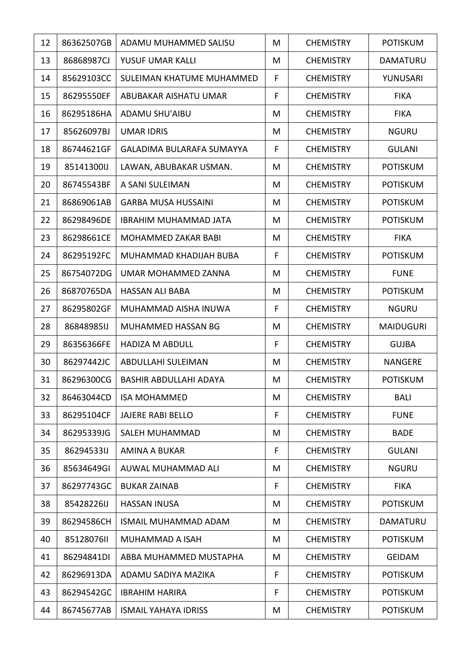| 12 | 86362507GB | ADAMU MUHAMMED SALISU            | M | <b>CHEMISTRY</b> | <b>POTISKUM</b>  |
|----|------------|----------------------------------|---|------------------|------------------|
| 13 | 86868987CJ | YUSUF UMAR KALLI                 | M | <b>CHEMISTRY</b> | DAMATURU         |
| 14 | 85629103CC | SULEIMAN KHATUME MUHAMMED        | F | <b>CHEMISTRY</b> | YUNUSARI         |
| 15 | 86295550EF | ABUBAKAR AISHATU UMAR            | F | <b>CHEMISTRY</b> | <b>FIKA</b>      |
| 16 | 86295186HA | <b>ADAMU SHU'AIBU</b>            | M | <b>CHEMISTRY</b> | <b>FIKA</b>      |
| 17 | 85626097BJ | <b>UMAR IDRIS</b>                | M | <b>CHEMISTRY</b> | <b>NGURU</b>     |
| 18 | 86744621GF | <b>GALADIMA BULARAFA SUMAYYA</b> | F | <b>CHEMISTRY</b> | <b>GULANI</b>    |
| 19 | 85141300IJ | LAWAN, ABUBAKAR USMAN.           | M | <b>CHEMISTRY</b> | <b>POTISKUM</b>  |
| 20 | 86745543BF | A SANI SULEIMAN                  | M | <b>CHEMISTRY</b> | <b>POTISKUM</b>  |
| 21 | 86869061AB | <b>GARBA MUSA HUSSAINI</b>       | M | <b>CHEMISTRY</b> | <b>POTISKUM</b>  |
| 22 | 86298496DE | <b>IBRAHIM MUHAMMAD JATA</b>     | M | <b>CHEMISTRY</b> | <b>POTISKUM</b>  |
| 23 | 86298661CE | MOHAMMED ZAKAR BABI              | M | <b>CHEMISTRY</b> | <b>FIKA</b>      |
| 24 | 86295192FC | MUHAMMAD KHADIJAH BUBA           | F | <b>CHEMISTRY</b> | <b>POTISKUM</b>  |
| 25 | 86754072DG | UMAR MOHAMMED ZANNA              | M | <b>CHEMISTRY</b> | <b>FUNE</b>      |
| 26 | 86870765DA | <b>HASSAN ALI BABA</b>           | M | <b>CHEMISTRY</b> | <b>POTISKUM</b>  |
| 27 | 86295802GF | MUHAMMAD AISHA INUWA             | F | <b>CHEMISTRY</b> | <b>NGURU</b>     |
| 28 | 86848985IJ | MUHAMMED HASSAN BG               | M | <b>CHEMISTRY</b> | <b>MAIDUGURI</b> |
| 29 | 86356366FE | <b>HADIZA M ABDULL</b>           | F | <b>CHEMISTRY</b> | <b>GUJBA</b>     |
| 30 | 86297442JC | ABDULLAHI SULEIMAN               | M | <b>CHEMISTRY</b> | <b>NANGERE</b>   |
| 31 | 86296300CG | BASHIR ABDULLAHI ADAYA           | M | <b>CHEMISTRY</b> | <b>POTISKUM</b>  |
| 32 | 86463044CD | <b>ISA MOHAMMED</b>              | M | <b>CHEMISTRY</b> | <b>BALI</b>      |
| 33 | 86295104CF | <b>JAJERE RABI BELLO</b>         | F | <b>CHEMISTRY</b> | <b>FUNE</b>      |
| 34 | 86295339JG | SALEH MUHAMMAD                   | M | <b>CHEMISTRY</b> | <b>BADE</b>      |
| 35 | 86294533IJ | <b>AMINA A BUKAR</b>             | F | <b>CHEMISTRY</b> | <b>GULANI</b>    |
| 36 | 85634649GI | AUWAL MUHAMMAD ALI               | M | <b>CHEMISTRY</b> | <b>NGURU</b>     |
| 37 | 86297743GC | <b>BUKAR ZAINAB</b>              | F | <b>CHEMISTRY</b> | <b>FIKA</b>      |
| 38 | 85428226IJ | <b>HASSAN INUSA</b>              | M | <b>CHEMISTRY</b> | <b>POTISKUM</b>  |
| 39 | 86294586CH | <b>ISMAIL MUHAMMAD ADAM</b>      | M | <b>CHEMISTRY</b> | DAMATURU         |
| 40 | 85128076II | MUHAMMAD A ISAH                  | M | <b>CHEMISTRY</b> | <b>POTISKUM</b>  |
| 41 | 86294841DI | ABBA MUHAMMED MUSTAPHA           | M | <b>CHEMISTRY</b> | <b>GEIDAM</b>    |
| 42 | 86296913DA | ADAMU SADIYA MAZIKA              | F | <b>CHEMISTRY</b> | <b>POTISKUM</b>  |
| 43 | 86294542GC | <b>IBRAHIM HARIRA</b>            | F | <b>CHEMISTRY</b> | <b>POTISKUM</b>  |
| 44 | 86745677AB | <b>ISMAIL YAHAYA IDRISS</b>      | M | <b>CHEMISTRY</b> | POTISKUM         |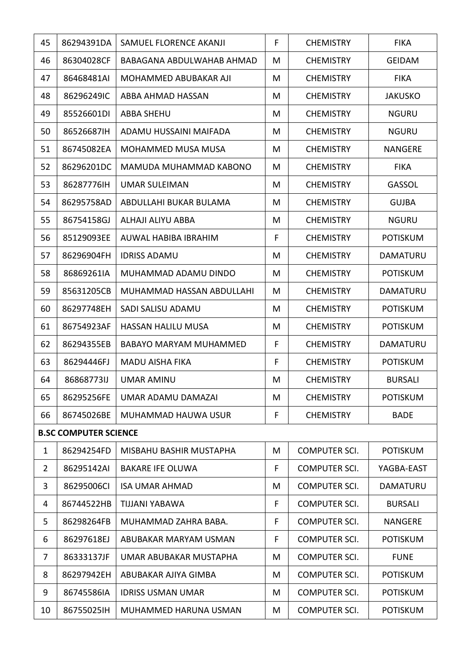| 45             | 86294391DA                   | SAMUEL FLORENCE AKANJI        | F | <b>CHEMISTRY</b>     | <b>FIKA</b>     |
|----------------|------------------------------|-------------------------------|---|----------------------|-----------------|
| 46             | 86304028CF                   | BABAGANA ABDULWAHAB AHMAD     | M | <b>CHEMISTRY</b>     | <b>GEIDAM</b>   |
| 47             | 86468481AI                   | MOHAMMED ABUBAKAR AJI         | M | <b>CHEMISTRY</b>     | <b>FIKA</b>     |
| 48             | 86296249IC                   | ABBA AHMAD HASSAN             | M | <b>CHEMISTRY</b>     | <b>JAKUSKO</b>  |
| 49             | 85526601DI                   | <b>ABBA SHEHU</b>             | M | <b>CHEMISTRY</b>     | <b>NGURU</b>    |
| 50             | 86526687IH                   | ADAMU HUSSAINI MAIFADA        | M | <b>CHEMISTRY</b>     | <b>NGURU</b>    |
| 51             | 86745082EA                   | MOHAMMED MUSA MUSA            | M | <b>CHEMISTRY</b>     | NANGERE         |
| 52             | 86296201DC                   | MAMUDA MUHAMMAD KABONO        | M | <b>CHEMISTRY</b>     | <b>FIKA</b>     |
| 53             | 86287776IH                   | <b>UMAR SULEIMAN</b>          | M | <b>CHEMISTRY</b>     | <b>GASSOL</b>   |
| 54             | 86295758AD                   | ABDULLAHI BUKAR BULAMA        | M | <b>CHEMISTRY</b>     | <b>GUJBA</b>    |
| 55             | 86754158GJ                   | ALHAJI ALIYU ABBA             | M | <b>CHEMISTRY</b>     | <b>NGURU</b>    |
| 56             | 85129093EE                   | AUWAL HABIBA IBRAHIM          | F | <b>CHEMISTRY</b>     | <b>POTISKUM</b> |
| 57             | 86296904FH                   | <b>IDRISS ADAMU</b>           | M | <b>CHEMISTRY</b>     | DAMATURU        |
| 58             | 86869261IA                   | MUHAMMAD ADAMU DINDO          | M | <b>CHEMISTRY</b>     | <b>POTISKUM</b> |
| 59             | 85631205CB                   | MUHAMMAD HASSAN ABDULLAHI     | M | <b>CHEMISTRY</b>     | DAMATURU        |
| 60             | 86297748EH                   | SADI SALISU ADAMU             | M | <b>CHEMISTRY</b>     | <b>POTISKUM</b> |
| 61             | 86754923AF                   | <b>HASSAN HALILU MUSA</b>     | M | <b>CHEMISTRY</b>     | <b>POTISKUM</b> |
| 62             | 86294355EB                   | <b>BABAYO MARYAM MUHAMMED</b> | F | <b>CHEMISTRY</b>     | DAMATURU        |
| 63             | 86294446FJ                   | <b>MADU AISHA FIKA</b>        | F | <b>CHEMISTRY</b>     | <b>POTISKUM</b> |
| 64             | 86868773IJ                   | <b>UMAR AMINU</b>             | M | <b>CHEMISTRY</b>     | <b>BURSALI</b>  |
| 65             | 86295256FE                   | UMAR ADAMU DAMAZAI            | M | <b>CHEMISTRY</b>     | <b>POTISKUM</b> |
| 66             | 86745026BE                   | MUHAMMAD HAUWA USUR           | F | <b>CHEMISTRY</b>     | <b>BADE</b>     |
|                | <b>B.SC COMPUTER SCIENCE</b> |                               |   |                      |                 |
| $\mathbf{1}$   | 86294254FD                   | MISBAHU BASHIR MUSTAPHA       | M | <b>COMPUTER SCI.</b> | <b>POTISKUM</b> |
| $\overline{2}$ | 86295142AI                   | <b>BAKARE IFE OLUWA</b>       | F | <b>COMPUTER SCI.</b> | YAGBA-EAST      |
| 3              | 86295006CI                   | <b>ISA UMAR AHMAD</b>         | M | <b>COMPUTER SCI.</b> | DAMATURU        |
| 4              | 86744522HB                   | TIJJANI YABAWA                | F | <b>COMPUTER SCI.</b> | <b>BURSALI</b>  |
| 5              | 86298264FB                   | MUHAMMAD ZAHRA BABA.          | F | <b>COMPUTER SCI.</b> | <b>NANGERE</b>  |
| 6              | 86297618EJ                   | ABUBAKAR MARYAM USMAN         | F | <b>COMPUTER SCI.</b> | <b>POTISKUM</b> |
| 7              | 86333137JF                   | UMAR ABUBAKAR MUSTAPHA        | M | <b>COMPUTER SCI.</b> | <b>FUNE</b>     |
| 8              | 86297942EH                   | ABUBAKAR AJIYA GIMBA          | M | <b>COMPUTER SCI.</b> | <b>POTISKUM</b> |
| 9              | 86745586IA                   | <b>IDRISS USMAN UMAR</b>      | M | <b>COMPUTER SCI.</b> | <b>POTISKUM</b> |
| 10             | 86755025IH                   | MUHAMMED HARUNA USMAN         | M | <b>COMPUTER SCI.</b> | <b>POTISKUM</b> |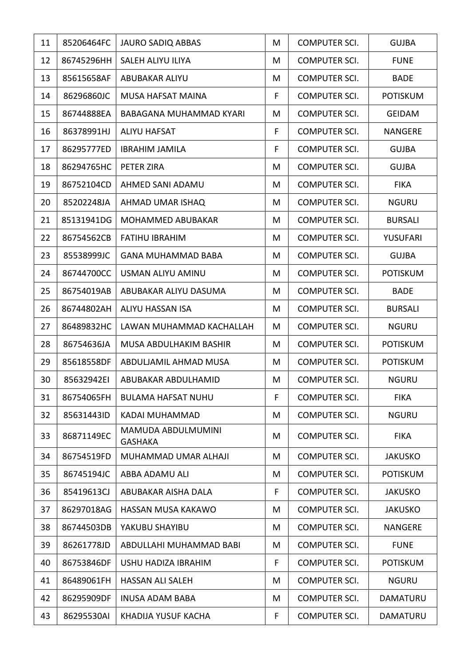| 11 | 85206464FC | <b>JAURO SADIQ ABBAS</b>             | M | <b>COMPUTER SCI.</b> | <b>GUJBA</b>    |
|----|------------|--------------------------------------|---|----------------------|-----------------|
| 12 | 86745296HH | SALEH ALIYU ILIYA                    | M | <b>COMPUTER SCI.</b> | <b>FUNE</b>     |
| 13 | 85615658AF | <b>ABUBAKAR ALIYU</b>                | M | <b>COMPUTER SCI.</b> | <b>BADE</b>     |
| 14 | 86296860JC | MUSA HAFSAT MAINA                    | F | <b>COMPUTER SCI.</b> | <b>POTISKUM</b> |
| 15 | 86744888EA | BABAGANA MUHAMMAD KYARI              | M | <b>COMPUTER SCI.</b> | <b>GEIDAM</b>   |
| 16 | 86378991HJ | <b>ALIYU HAFSAT</b>                  | F | <b>COMPUTER SCI.</b> | <b>NANGERE</b>  |
| 17 | 86295777ED | <b>IBRAHIM JAMILA</b>                | F | <b>COMPUTER SCI.</b> | <b>GUJBA</b>    |
| 18 | 86294765HC | PETER ZIRA                           | M | <b>COMPUTER SCI.</b> | <b>GUJBA</b>    |
| 19 | 86752104CD | AHMED SANI ADAMU                     | M | <b>COMPUTER SCI.</b> | <b>FIKA</b>     |
| 20 | 85202248JA | AHMAD UMAR ISHAQ                     | M | <b>COMPUTER SCI.</b> | <b>NGURU</b>    |
| 21 | 85131941DG | MOHAMMED ABUBAKAR                    | M | <b>COMPUTER SCI.</b> | <b>BURSALI</b>  |
| 22 | 86754562CB | <b>FATIHU IBRAHIM</b>                | M | <b>COMPUTER SCI.</b> | YUSUFARI        |
| 23 | 85538999JC | <b>GANA MUHAMMAD BABA</b>            | M | <b>COMPUTER SCI.</b> | <b>GUJBA</b>    |
| 24 | 86744700CC | USMAN ALIYU AMINU                    | M | <b>COMPUTER SCI.</b> | <b>POTISKUM</b> |
| 25 | 86754019AB | ABUBAKAR ALIYU DASUMA                | M | <b>COMPUTER SCI.</b> | <b>BADE</b>     |
| 26 | 86744802AH | <b>ALIYU HASSAN ISA</b>              | M | <b>COMPUTER SCI.</b> | <b>BURSALI</b>  |
| 27 | 86489832HC | LAWAN MUHAMMAD KACHALLAH             | M | <b>COMPUTER SCI.</b> | <b>NGURU</b>    |
| 28 | 86754636JA | MUSA ABDULHAKIM BASHIR               | M | <b>COMPUTER SCI.</b> | <b>POTISKUM</b> |
| 29 | 85618558DF | ABDULJAMIL AHMAD MUSA                | M | <b>COMPUTER SCI.</b> | <b>POTISKUM</b> |
| 30 | 85632942EI | ABUBAKAR ABDULHAMID                  | M | <b>COMPUTER SCI.</b> | <b>NGURU</b>    |
| 31 | 86754065FH | <b>BULAMA HAFSAT NUHU</b>            | F | <b>COMPUTER SCI.</b> | <b>FIKA</b>     |
| 32 | 85631443ID | KADAI MUHAMMAD                       | M | <b>COMPUTER SCI.</b> | <b>NGURU</b>    |
| 33 | 86871149EC | MAMUDA ABDULMUMINI<br><b>GASHAKA</b> | M | <b>COMPUTER SCI.</b> | <b>FIKA</b>     |
| 34 | 86754519FD | MUHAMMAD UMAR ALHAJI                 | M | <b>COMPUTER SCI.</b> | <b>JAKUSKO</b>  |
| 35 | 86745194JC | ABBA ADAMU ALI                       | M | <b>COMPUTER SCI.</b> | <b>POTISKUM</b> |
| 36 | 85419613CJ | ABUBAKAR AISHA DALA                  | F | <b>COMPUTER SCI.</b> | <b>JAKUSKO</b>  |
| 37 | 86297018AG | HASSAN MUSA KAKAWO                   | M | <b>COMPUTER SCI.</b> | <b>JAKUSKO</b>  |
| 38 | 86744503DB | YAKUBU SHAYIBU                       | M | <b>COMPUTER SCI.</b> | <b>NANGERE</b>  |
| 39 | 86261778JD | ABDULLAHI MUHAMMAD BABI              | M | <b>COMPUTER SCI.</b> | <b>FUNE</b>     |
| 40 | 86753846DF | USHU HADIZA IBRAHIM                  | F | COMPUTER SCI.        | <b>POTISKUM</b> |
| 41 | 86489061FH | <b>HASSAN ALI SALEH</b>              | M | <b>COMPUTER SCI.</b> | <b>NGURU</b>    |
| 42 | 86295909DF | <b>INUSA ADAM BABA</b>               | M | <b>COMPUTER SCI.</b> | DAMATURU        |
| 43 | 86295530AI | KHADIJA YUSUF KACHA                  | F | <b>COMPUTER SCI.</b> | DAMATURU        |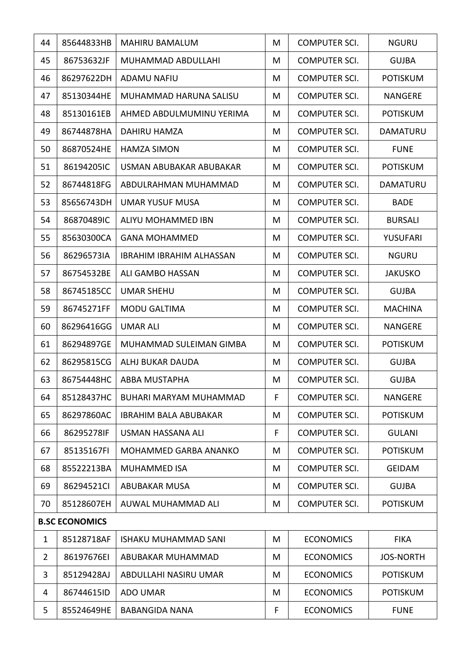| 44             | 85644833HB            | <b>MAHIRU BAMALUM</b>           | M | <b>COMPUTER SCI.</b> | <b>NGURU</b>     |
|----------------|-----------------------|---------------------------------|---|----------------------|------------------|
| 45             | 86753632JF            | MUHAMMAD ABDULLAHI              | M | <b>COMPUTER SCI.</b> | <b>GUJBA</b>     |
| 46             | 86297622DH            | <b>ADAMU NAFIU</b>              | M | <b>COMPUTER SCI.</b> | <b>POTISKUM</b>  |
| 47             | 85130344HE            | MUHAMMAD HARUNA SALISU          | M | <b>COMPUTER SCI.</b> | <b>NANGERE</b>   |
| 48             | 85130161EB            | AHMED ABDULMUMINU YERIMA        | M | <b>COMPUTER SCI.</b> | <b>POTISKUM</b>  |
| 49             | 86744878HA            | DAHIRU HAMZA                    | M | <b>COMPUTER SCI.</b> | DAMATURU         |
| 50             | 86870524HE            | <b>HAMZA SIMON</b>              | M | <b>COMPUTER SCI.</b> | <b>FUNE</b>      |
| 51             | 86194205IC            | USMAN ABUBAKAR ABUBAKAR         | M | <b>COMPUTER SCI.</b> | <b>POTISKUM</b>  |
| 52             | 86744818FG            | ABDULRAHMAN MUHAMMAD            | M | <b>COMPUTER SCI.</b> | <b>DAMATURU</b>  |
| 53             | 85656743DH            | <b>UMAR YUSUF MUSA</b>          | M | <b>COMPUTER SCI.</b> | <b>BADE</b>      |
| 54             | 86870489IC            | ALIYU MOHAMMED IBN              | M | <b>COMPUTER SCI.</b> | <b>BURSALI</b>   |
| 55             | 85630300CA            | <b>GANA MOHAMMED</b>            | M | <b>COMPUTER SCI.</b> | YUSUFARI         |
| 56             | 86296573IA            | <b>IBRAHIM IBRAHIM ALHASSAN</b> | M | <b>COMPUTER SCI.</b> | <b>NGURU</b>     |
| 57             | 86754532BE            | ALI GAMBO HASSAN                | M | <b>COMPUTER SCI.</b> | <b>JAKUSKO</b>   |
| 58             | 86745185CC            | <b>UMAR SHEHU</b>               | M | <b>COMPUTER SCI.</b> | <b>GUJBA</b>     |
| 59             | 86745271FF            | <b>MODU GALTIMA</b>             | M | <b>COMPUTER SCI.</b> | <b>MACHINA</b>   |
| 60             | 86296416GG            | <b>UMAR ALI</b>                 | M | <b>COMPUTER SCI.</b> | <b>NANGERE</b>   |
| 61             | 86294897GE            | MUHAMMAD SULEIMAN GIMBA         | M | <b>COMPUTER SCI.</b> | <b>POTISKUM</b>  |
| 62             | 86295815CG            | ALHJ BUKAR DAUDA                | M | <b>COMPUTER SCI.</b> | <b>GUJBA</b>     |
| 63             | 86754448HC            | <b>ABBA MUSTAPHA</b>            | M | <b>COMPUTER SCI.</b> | <b>GUJBA</b>     |
| 64             | 85128437HC            | BUHARI MARYAM MUHAMMAD          | F | <b>COMPUTER SCI.</b> | <b>NANGERE</b>   |
| 65             | 86297860AC            | <b>IBRAHIM BALA ABUBAKAR</b>    | M | <b>COMPUTER SCI.</b> | <b>POTISKUM</b>  |
| 66             | 86295278IF            | USMAN HASSANA ALI               | F | <b>COMPUTER SCI.</b> | <b>GULANI</b>    |
| 67             | 85135167FI            | MOHAMMED GARBA ANANKO           | M | <b>COMPUTER SCI.</b> | <b>POTISKUM</b>  |
| 68             | 85522213BA            | <b>MUHAMMED ISA</b>             | M | <b>COMPUTER SCI.</b> | <b>GEIDAM</b>    |
| 69             | 86294521Cl            | <b>ABUBAKAR MUSA</b>            | M | <b>COMPUTER SCI.</b> | <b>GUJBA</b>     |
| 70             | 85128607EH            | AUWAL MUHAMMAD ALI              | M | <b>COMPUTER SCI.</b> | <b>POTISKUM</b>  |
|                | <b>B.SC ECONOMICS</b> |                                 |   |                      |                  |
| $\mathbf{1}$   | 85128718AF            | <b>ISHAKU MUHAMMAD SANI</b>     | M | <b>ECONOMICS</b>     | <b>FIKA</b>      |
| $\overline{2}$ | 86197676EI            | ABUBAKAR MUHAMMAD               | M | <b>ECONOMICS</b>     | <b>JOS-NORTH</b> |
| 3              | 85129428AJ            | ABDULLAHI NASIRU UMAR           | M | <b>ECONOMICS</b>     | <b>POTISKUM</b>  |
| 4              | 86744615ID            | <b>ADO UMAR</b>                 | M | <b>ECONOMICS</b>     | <b>POTISKUM</b>  |
| 5              | 85524649HE            | <b>BABANGIDA NANA</b>           | F | <b>ECONOMICS</b>     | <b>FUNE</b>      |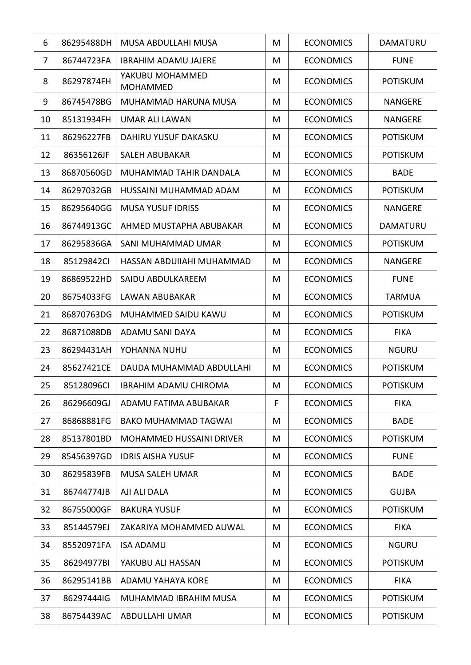| 6  | 86295488DH | MUSA ABDULLAHI MUSA                | M | <b>ECONOMICS</b> | <b>DAMATURU</b> |
|----|------------|------------------------------------|---|------------------|-----------------|
| 7  | 86744723FA | <b>IBRAHIM ADAMU JAJERE</b>        | M | <b>ECONOMICS</b> | <b>FUNE</b>     |
| 8  | 86297874FH | YAKUBU MOHAMMED<br><b>MOHAMMED</b> | M | <b>ECONOMICS</b> | <b>POTISKUM</b> |
| 9  | 86745478BG | MUHAMMAD HARUNA MUSA               | M | <b>ECONOMICS</b> | <b>NANGERE</b>  |
| 10 | 85131934FH | <b>UMAR ALI LAWAN</b>              | M | <b>ECONOMICS</b> | <b>NANGERE</b>  |
| 11 | 86296227FB | <b>DAHIRU YUSUF DAKASKU</b>        | M | <b>ECONOMICS</b> | <b>POTISKUM</b> |
| 12 | 86356126JF | <b>SALEH ABUBAKAR</b>              | M | <b>ECONOMICS</b> | <b>POTISKUM</b> |
| 13 | 86870560GD | MUHAMMAD TAHIR DANDALA             | M | <b>ECONOMICS</b> | <b>BADE</b>     |
| 14 | 86297032GB | HUSSAINI MUHAMMAD ADAM             | M | <b>ECONOMICS</b> | <b>POTISKUM</b> |
| 15 | 86295640GG | <b>MUSA YUSUF IDRISS</b>           | M | <b>ECONOMICS</b> | <b>NANGERE</b>  |
| 16 | 86744913GC | AHMED MUSTAPHA ABUBAKAR            | M | <b>ECONOMICS</b> | DAMATURU        |
| 17 | 86295836GA | SANI MUHAMMAD UMAR                 | M | <b>ECONOMICS</b> | <b>POTISKUM</b> |
| 18 | 85129842CI | HASSAN ABDUIIAHI MUHAMMAD          | M | <b>ECONOMICS</b> | <b>NANGERE</b>  |
| 19 | 86869522HD | SAIDU ABDULKAREEM                  | M | <b>ECONOMICS</b> | <b>FUNE</b>     |
| 20 | 86754033FG | LAWAN ABUBAKAR                     | M | <b>ECONOMICS</b> | <b>TARMUA</b>   |
| 21 | 86870763DG | MUHAMMED SAIDU KAWU                | M | <b>ECONOMICS</b> | <b>POTISKUM</b> |
| 22 | 86871088DB | ADAMU SANI DAYA                    | M | <b>ECONOMICS</b> | <b>FIKA</b>     |
| 23 | 86294431AH | YOHANNA NUHU                       | M | <b>ECONOMICS</b> | <b>NGURU</b>    |
| 24 | 85627421CE | DAUDA MUHAMMAD ABDULLAHI           | M | <b>ECONOMICS</b> | <b>POTISKUM</b> |
| 25 | 85128096CI | <b>IBRAHIM ADAMU CHIROMA</b>       | M | <b>ECONOMICS</b> | <b>POTISKUM</b> |
| 26 | 86296609GJ | ADAMU FATIMA ABUBAKAR              | F | <b>ECONOMICS</b> | <b>FIKA</b>     |
| 27 | 86868881FG | <b>BAKO MUHAMMAD TAGWAI</b>        | M | <b>ECONOMICS</b> | <b>BADE</b>     |
| 28 | 85137801BD | <b>MOHAMMED HUSSAINI DRIVER</b>    | M | <b>ECONOMICS</b> | <b>POTISKUM</b> |
| 29 | 85456397GD | <b>IDRIS AISHA YUSUF</b>           | M | <b>ECONOMICS</b> | <b>FUNE</b>     |
| 30 | 86295839FB | <b>MUSA SALEH UMAR</b>             | M | <b>ECONOMICS</b> | <b>BADE</b>     |
| 31 | 86744774JB | AJI ALI DALA                       | M | <b>ECONOMICS</b> | <b>GUJBA</b>    |
| 32 | 86755000GF | <b>BAKURA YUSUF</b>                | M | <b>ECONOMICS</b> | <b>POTISKUM</b> |
| 33 | 85144579EJ | ZAKARIYA MOHAMMED AUWAL            | M | <b>ECONOMICS</b> | <b>FIKA</b>     |
| 34 | 85520971FA | <b>ISA ADAMU</b>                   | M | <b>ECONOMICS</b> | <b>NGURU</b>    |
| 35 | 86294977BI | YAKUBU ALI HASSAN                  | M | <b>ECONOMICS</b> | <b>POTISKUM</b> |
| 36 | 86295141BB | ADAMU YAHAYA KORE                  | M | <b>ECONOMICS</b> | <b>FIKA</b>     |
| 37 | 86297444IG | MUHAMMAD IBRAHIM MUSA              | M | <b>ECONOMICS</b> | <b>POTISKUM</b> |
| 38 | 86754439AC | ABDULLAHI UMAR                     | M | <b>ECONOMICS</b> | <b>POTISKUM</b> |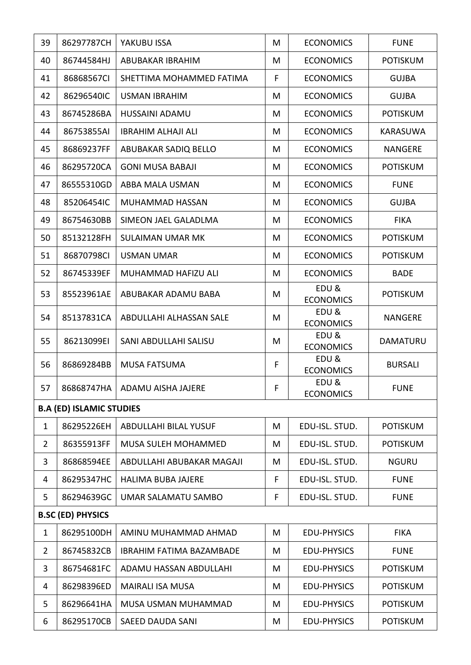| 39             | 86297787CH                      | YAKUBU ISSA                     | M | <b>ECONOMICS</b>         | <b>FUNE</b>     |
|----------------|---------------------------------|---------------------------------|---|--------------------------|-----------------|
| 40             | 86744584HJ                      | <b>ABUBAKAR IBRAHIM</b>         | M | <b>ECONOMICS</b>         | <b>POTISKUM</b> |
| 41             | 86868567CI                      | SHETTIMA MOHAMMED FATIMA        | F | <b>ECONOMICS</b>         | <b>GUJBA</b>    |
| 42             | 86296540IC                      | <b>USMAN IBRAHIM</b>            | M | <b>ECONOMICS</b>         | <b>GUJBA</b>    |
| 43             | 86745286BA                      | HUSSAINI ADAMU                  | M | <b>ECONOMICS</b>         | <b>POTISKUM</b> |
| 44             | 86753855AI                      | <b>IBRAHIM ALHAJI ALI</b>       | M | <b>ECONOMICS</b>         | KARASUWA        |
| 45             | 86869237FF                      | ABUBAKAR SADIQ BELLO            | M | <b>ECONOMICS</b>         | <b>NANGERE</b>  |
| 46             | 86295720CA                      | <b>GONI MUSA BABAJI</b>         | M | <b>ECONOMICS</b>         | <b>POTISKUM</b> |
| 47             | 86555310GD                      | ABBA MALA USMAN                 | M | <b>ECONOMICS</b>         | <b>FUNE</b>     |
| 48             | 85206454IC                      | MUHAMMAD HASSAN                 | M | <b>ECONOMICS</b>         | <b>GUJBA</b>    |
| 49             | 86754630BB                      | SIMEON JAEL GALADLMA            | M | <b>ECONOMICS</b>         | <b>FIKA</b>     |
| 50             | 85132128FH                      | <b>SULAIMAN UMAR MK</b>         | M | <b>ECONOMICS</b>         | <b>POTISKUM</b> |
| 51             | 86870798CI                      | <b>USMAN UMAR</b>               | M | <b>ECONOMICS</b>         | <b>POTISKUM</b> |
| 52             | 86745339EF                      | MUHAMMAD HAFIZU ALI             | M | <b>ECONOMICS</b>         | <b>BADE</b>     |
| 53             | 85523961AE                      | ABUBAKAR ADAMU BABA             | M | EDU&<br><b>ECONOMICS</b> | <b>POTISKUM</b> |
| 54             | 85137831CA                      | ABDULLAHI ALHASSAN SALE         | M | EDU&<br><b>ECONOMICS</b> | <b>NANGERE</b>  |
| 55             | 86213099EI                      | SANI ABDULLAHI SALISU           | M | EDU&<br><b>ECONOMICS</b> | DAMATURU        |
| 56             | 86869284BB                      | <b>MUSA FATSUMA</b>             | F | EDU&<br><b>ECONOMICS</b> | <b>BURSALI</b>  |
| 57             |                                 | 86868747HA   ADAMU AISHA JAJERE | F | EDU&<br><b>ECONOMICS</b> | <b>FUNE</b>     |
|                | <b>B.A (ED) ISLAMIC STUDIES</b> |                                 |   |                          |                 |
| $\mathbf{1}$   | 86295226EH                      | <b>ABDULLAHI BILAL YUSUF</b>    | M | EDU-ISL. STUD.           | <b>POTISKUM</b> |
| $\overline{2}$ | 86355913FF                      | <b>MUSA SULEH MOHAMMED</b>      | M | EDU-ISL. STUD.           | <b>POTISKUM</b> |
| 3              | 86868594EE                      | ABDULLAHI ABUBAKAR MAGAJI       | M | EDU-ISL. STUD.           | <b>NGURU</b>    |
| 4              | 86295347HC                      | <b>HALIMA BUBA JAJERE</b>       | F | EDU-ISL. STUD.           | <b>FUNE</b>     |
| 5              | 86294639GC                      | UMAR SALAMATU SAMBO             | F | EDU-ISL. STUD.           | <b>FUNE</b>     |
|                | <b>B.SC (ED) PHYSICS</b>        |                                 |   |                          |                 |
| $\mathbf{1}$   | 86295100DH                      | AMINU MUHAMMAD AHMAD            | M | <b>EDU-PHYSICS</b>       | <b>FIKA</b>     |
| $\overline{2}$ | 86745832CB                      | <b>IBRAHIM FATIMA BAZAMBADE</b> | M | <b>EDU-PHYSICS</b>       | <b>FUNE</b>     |
| 3              | 86754681FC                      | ADAMU HASSAN ABDULLAHI          | M | <b>EDU-PHYSICS</b>       | <b>POTISKUM</b> |
| 4              | 86298396ED                      | <b>MAIRALI ISA MUSA</b>         | M | <b>EDU-PHYSICS</b>       | <b>POTISKUM</b> |
| 5              | 86296641HA                      | MUSA USMAN MUHAMMAD             | M | <b>EDU-PHYSICS</b>       | <b>POTISKUM</b> |
| 6              | 86295170CB                      | SAEED DAUDA SANI                | M | <b>EDU-PHYSICS</b>       | <b>POTISKUM</b> |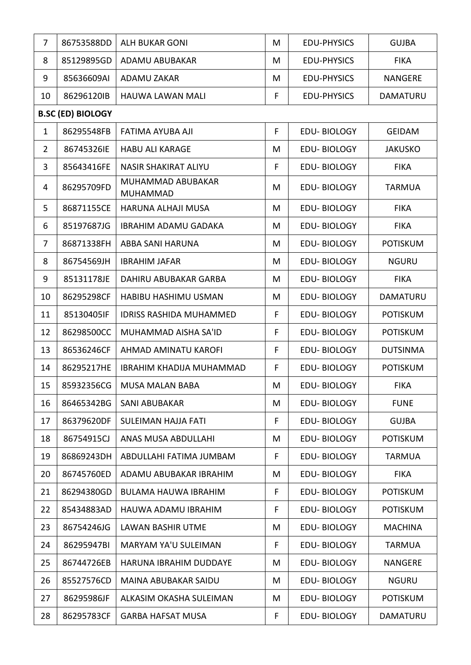| $\overline{7}$ | 86753588DD               | <b>ALH BUKAR GONI</b>                | M  | <b>EDU-PHYSICS</b> | <b>GUJBA</b>    |
|----------------|--------------------------|--------------------------------------|----|--------------------|-----------------|
| 8              | 85129895GD               | ADAMU ABUBAKAR                       | M  | <b>EDU-PHYSICS</b> | <b>FIKA</b>     |
| 9              | 85636609AI               | <b>ADAMU ZAKAR</b>                   | M  | <b>EDU-PHYSICS</b> | <b>NANGERE</b>  |
| 10             | 86296120IB               | <b>HAUWA LAWAN MALI</b>              | F  | <b>EDU-PHYSICS</b> | DAMATURU        |
|                | <b>B.SC (ED) BIOLOGY</b> |                                      |    |                    |                 |
| $\mathbf{1}$   | 86295548FB               | FATIMA AYUBA AJI                     | F. | <b>EDU-BIOLOGY</b> | <b>GEIDAM</b>   |
| $\overline{2}$ | 86745326IE               | <b>HABU ALI KARAGE</b>               | M  | <b>EDU-BIOLOGY</b> | <b>JAKUSKO</b>  |
| 3              | 85643416FE               | <b>NASIR SHAKIRAT ALIYU</b>          | F  | <b>EDU-BIOLOGY</b> | <b>FIKA</b>     |
| 4              | 86295709FD               | MUHAMMAD ABUBAKAR<br><b>MUHAMMAD</b> | M  | <b>EDU-BIOLOGY</b> | <b>TARMUA</b>   |
| 5              | 86871155CE               | HARUNA ALHAJI MUSA                   | M  | <b>EDU-BIOLOGY</b> | <b>FIKA</b>     |
| 6              | 85197687JG               | <b>IBRAHIM ADAMU GADAKA</b>          | M  | <b>EDU-BIOLOGY</b> | <b>FIKA</b>     |
| 7              | 86871338FH               | ABBA SANI HARUNA                     | M  | <b>EDU-BIOLOGY</b> | <b>POTISKUM</b> |
| 8              | 86754569JH               | <b>IBRAHIM JAFAR</b>                 | M  | <b>EDU-BIOLOGY</b> | <b>NGURU</b>    |
| 9              | 85131178JE               | DAHIRU ABUBAKAR GARBA                | M  | <b>EDU-BIOLOGY</b> | <b>FIKA</b>     |
| 10             | 86295298CF               | HABIBU HASHIMU USMAN                 | M  | <b>EDU-BIOLOGY</b> | DAMATURU        |
| 11             | 85130405IF               | <b>IDRISS RASHIDA MUHAMMED</b>       | F  | <b>EDU-BIOLOGY</b> | <b>POTISKUM</b> |
| 12             | 86298500CC               | MUHAMMAD AISHA SA'ID                 | F  | <b>EDU-BIOLOGY</b> | <b>POTISKUM</b> |
| 13             | 86536246CF               | AHMAD AMINATU KAROFI                 | F  | <b>EDU-BIOLOGY</b> | <b>DUTSINMA</b> |
| 14             | 86295217HE               | IBRAHIM KHADIJA MUHAMMAD             | F  | <b>EDU-BIOLOGY</b> | <b>POTISKUM</b> |
| 15             | 85932356CG               | <b>MUSA MALAN BABA</b>               | M  | EDU-BIOLOGY        | <b>FIKA</b>     |
| 16             | 86465342BG               | SANI ABUBAKAR                        | M  | <b>EDU-BIOLOGY</b> | <b>FUNE</b>     |
| 17             | 86379620DF               | SULEIMAN HAJJA FATI                  | F  | <b>EDU-BIOLOGY</b> | <b>GUJBA</b>    |
| 18             | 86754915CJ               | ANAS MUSA ABDULLAHI                  | M  | <b>EDU-BIOLOGY</b> | <b>POTISKUM</b> |
| 19             | 86869243DH               | ABDULLAHI FATIMA JUMBAM              | F  | <b>EDU-BIOLOGY</b> | <b>TARMUA</b>   |
| 20             | 86745760ED               | ADAMU ABUBAKAR IBRAHIM               | M  | <b>EDU-BIOLOGY</b> | <b>FIKA</b>     |
| 21             | 86294380GD               | BULAMA HAUWA IBRAHIM                 | F  | <b>EDU-BIOLOGY</b> | <b>POTISKUM</b> |
| 22             | 85434883AD               | HAUWA ADAMU IBRAHIM                  | F  | <b>EDU-BIOLOGY</b> | <b>POTISKUM</b> |
| 23             | 86754246JG               | <b>LAWAN BASHIR UTME</b>             | M  | <b>EDU-BIOLOGY</b> | <b>MACHINA</b>  |
| 24             | 86295947BI               | <b>MARYAM YA'U SULEIMAN</b>          | F  | <b>EDU-BIOLOGY</b> | <b>TARMUA</b>   |
| 25             | 86744726EB               | HARUNA IBRAHIM DUDDAYE               | M  | <b>EDU-BIOLOGY</b> | <b>NANGERE</b>  |
| 26             | 85527576CD               | MAINA ABUBAKAR SAIDU                 | M  | <b>EDU-BIOLOGY</b> | <b>NGURU</b>    |
| 27             | 86295986JF               | ALKASIM OKASHA SULEIMAN              | M  | <b>EDU-BIOLOGY</b> | <b>POTISKUM</b> |
| 28             | 86295783CF               | <b>GARBA HAFSAT MUSA</b>             | F. | <b>EDU-BIOLOGY</b> | DAMATURU        |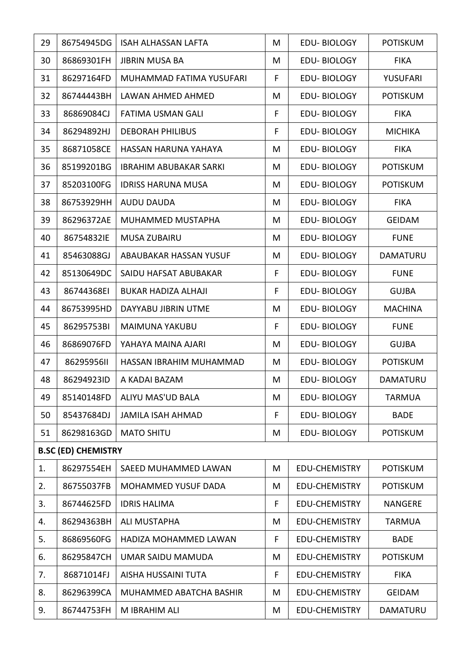| 29 | 86754945DG                 | ISAH ALHASSAN LAFTA           | M  | <b>EDU-BIOLOGY</b>   | <b>POTISKUM</b> |
|----|----------------------------|-------------------------------|----|----------------------|-----------------|
| 30 | 86869301FH                 | <b>JIBRIN MUSA BA</b>         | M  | <b>EDU-BIOLOGY</b>   | <b>FIKA</b>     |
| 31 | 86297164FD                 | MUHAMMAD FATIMA YUSUFARI      | F  | <b>EDU-BIOLOGY</b>   | YUSUFARI        |
| 32 | 86744443BH                 | LAWAN AHMED AHMED             | M  | <b>EDU-BIOLOGY</b>   | <b>POTISKUM</b> |
| 33 | 86869084CJ                 | <b>FATIMA USMAN GALI</b>      | F  | <b>EDU-BIOLOGY</b>   | <b>FIKA</b>     |
| 34 | 86294892HJ                 | <b>DEBORAH PHILIBUS</b>       | F  | <b>EDU-BIOLOGY</b>   | <b>MICHIKA</b>  |
| 35 | 86871058CE                 | HASSAN HARUNA YAHAYA          | M  | <b>EDU-BIOLOGY</b>   | <b>FIKA</b>     |
| 36 | 85199201BG                 | <b>IBRAHIM ABUBAKAR SARKI</b> | M  | <b>EDU-BIOLOGY</b>   | <b>POTISKUM</b> |
| 37 | 85203100FG                 | <b>IDRISS HARUNA MUSA</b>     | M  | <b>EDU-BIOLOGY</b>   | <b>POTISKUM</b> |
| 38 | 86753929HH                 | <b>AUDU DAUDA</b>             | M  | <b>EDU-BIOLOGY</b>   | <b>FIKA</b>     |
| 39 | 86296372AE                 | MUHAMMED MUSTAPHA             | M  | <b>EDU-BIOLOGY</b>   | <b>GEIDAM</b>   |
| 40 | 86754832IE                 | <b>MUSA ZUBAIRU</b>           | M  | <b>EDU-BIOLOGY</b>   | <b>FUNE</b>     |
| 41 | 85463088GJ                 | ABAUBAKAR HASSAN YUSUF        | M  | <b>EDU-BIOLOGY</b>   | <b>DAMATURU</b> |
| 42 | 85130649DC                 | SAIDU HAFSAT ABUBAKAR         | F  | <b>EDU-BIOLOGY</b>   | <b>FUNE</b>     |
| 43 | 86744368EI                 | <b>BUKAR HADIZA ALHAJI</b>    | F. | <b>EDU-BIOLOGY</b>   | <b>GUJBA</b>    |
| 44 | 86753995HD                 | DAYYABU JIBRIN UTME           | M  | <b>EDU-BIOLOGY</b>   | <b>MACHINA</b>  |
| 45 | 86295753BI                 | <b>MAIMUNA YAKUBU</b>         | F  | <b>EDU-BIOLOGY</b>   | <b>FUNE</b>     |
| 46 | 86869076FD                 | YAHAYA MAINA AJARI            | M  | <b>EDU-BIOLOGY</b>   | <b>GUJBA</b>    |
| 47 | 86295956II                 | HASSAN IBRAHIM MUHAMMAD       | M  | <b>EDU-BIOLOGY</b>   | <b>POTISKUM</b> |
| 48 | 86294923ID                 | A KADAI BAZAM                 | M  | <b>EDU-BIOLOGY</b>   | <b>DAMATURU</b> |
| 49 | 85140148FD                 | ALIYU MAS'UD BALA             | M  | <b>EDU-BIOLOGY</b>   | <b>TARMUA</b>   |
| 50 | 85437684DJ                 | <b>JAMILA ISAH AHMAD</b>      | F  | <b>EDU-BIOLOGY</b>   | <b>BADE</b>     |
| 51 | 86298163GD                 | <b>MATO SHITU</b>             | Μ  | <b>EDU-BIOLOGY</b>   | <b>POTISKUM</b> |
|    | <b>B.SC (ED) CHEMISTRY</b> |                               |    |                      |                 |
| 1. | 86297554EH                 | SAEED MUHAMMED LAWAN          | M  | <b>EDU-CHEMISTRY</b> | <b>POTISKUM</b> |
| 2. | 86755037FB                 | <b>MOHAMMED YUSUF DADA</b>    | M  | <b>EDU-CHEMISTRY</b> | <b>POTISKUM</b> |
| 3. | 86744625FD                 | <b>IDRIS HALIMA</b>           | F  | <b>EDU-CHEMISTRY</b> | <b>NANGERE</b>  |
| 4. | 86294363BH                 | <b>ALI MUSTAPHA</b>           | M  | <b>EDU-CHEMISTRY</b> | <b>TARMUA</b>   |
| 5. | 86869560FG                 | HADIZA MOHAMMED LAWAN         | F  | <b>EDU-CHEMISTRY</b> | <b>BADE</b>     |
| 6. | 86295847CH                 | UMAR SAIDU MAMUDA             | M  | <b>EDU-CHEMISTRY</b> | <b>POTISKUM</b> |
| 7. | 86871014FJ                 | AISHA HUSSAINI TUTA           | F  | <b>EDU-CHEMISTRY</b> | <b>FIKA</b>     |
| 8. | 86296399CA                 | MUHAMMED ABATCHA BASHIR       | M  | <b>EDU-CHEMISTRY</b> | <b>GEIDAM</b>   |
| 9. | 86744753FH                 | M IBRAHIM ALI                 | M  | EDU-CHEMISTRY        | <b>DAMATURU</b> |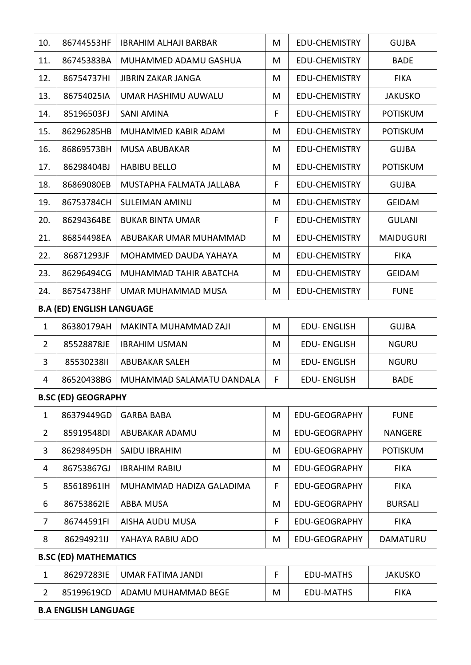| 10.            | 86744553HF                       | <b>IBRAHIM ALHAJI BARBAR</b> | M  | <b>EDU-CHEMISTRY</b> | <b>GUJBA</b>     |
|----------------|----------------------------------|------------------------------|----|----------------------|------------------|
| 11.            | 86745383BA                       | MUHAMMED ADAMU GASHUA        | M  | <b>EDU-CHEMISTRY</b> | <b>BADE</b>      |
| 12.            | 86754737HI                       | <b>JIBRIN ZAKAR JANGA</b>    | M  | <b>EDU-CHEMISTRY</b> | <b>FIKA</b>      |
| 13.            | 86754025IA                       | UMAR HASHIMU AUWALU          | M  | <b>EDU-CHEMISTRY</b> | <b>JAKUSKO</b>   |
| 14.            | 85196503FJ                       | <b>SANI AMINA</b>            | F  | <b>EDU-CHEMISTRY</b> | <b>POTISKUM</b>  |
| 15.            | 86296285HB                       | MUHAMMED KABIR ADAM          | M  | <b>EDU-CHEMISTRY</b> | <b>POTISKUM</b>  |
| 16.            | 86869573BH                       | <b>MUSA ABUBAKAR</b>         | M  | <b>EDU-CHEMISTRY</b> | <b>GUJBA</b>     |
| 17.            | 86298404BJ                       | <b>HABIBU BELLO</b>          | M  | <b>EDU-CHEMISTRY</b> | <b>POTISKUM</b>  |
| 18.            | 86869080EB                       | MUSTAPHA FALMATA JALLABA     | F  | EDU-CHEMISTRY        | <b>GUJBA</b>     |
| 19.            | 86753784CH                       | <b>SULEIMAN AMINU</b>        | M  | <b>EDU-CHEMISTRY</b> | <b>GEIDAM</b>    |
| 20.            | 86294364BE                       | <b>BUKAR BINTA UMAR</b>      | F. | <b>EDU-CHEMISTRY</b> | <b>GULANI</b>    |
| 21.            | 86854498EA                       | ABUBAKAR UMAR MUHAMMAD       | M  | <b>EDU-CHEMISTRY</b> | <b>MAIDUGURI</b> |
| 22.            | 86871293JF                       | MOHAMMED DAUDA YAHAYA        | M  | EDU-CHEMISTRY        | <b>FIKA</b>      |
| 23.            | 86296494CG                       | MUHAMMAD TAHIR ABATCHA       | M  | EDU-CHEMISTRY        | <b>GEIDAM</b>    |
| 24.            | 86754738HF                       | UMAR MUHAMMAD MUSA           | M  | <b>EDU-CHEMISTRY</b> | <b>FUNE</b>      |
|                | <b>B.A (ED) ENGLISH LANGUAGE</b> |                              |    |                      |                  |
| $\mathbf{1}$   | 86380179AH                       | MAKINTA MUHAMMAD ZAJI        | M  | <b>EDU-ENGLISH</b>   | <b>GUJBA</b>     |
| $\overline{2}$ | 85528878JE                       | <b>IBRAHIM USMAN</b>         | M  | <b>EDU-ENGLISH</b>   | <b>NGURU</b>     |
| 3              | 8553023811                       | <b>ABUBAKAR SALEH</b>        | M  | <b>EDU-ENGLISH</b>   | <b>NGURU</b>     |
| 4              | 86520438BG                       | MUHAMMAD SALAMATU DANDALA    | F  | <b>EDU-ENGLISH</b>   | <b>BADE</b>      |
|                | <b>B.SC (ED) GEOGRAPHY</b>       |                              |    |                      |                  |
| 1              | 86379449GD                       | <b>GARBA BABA</b>            | M  | <b>EDU-GEOGRAPHY</b> | <b>FUNE</b>      |
| $\overline{2}$ | 85919548DI                       | ABUBAKAR ADAMU               | M  | <b>EDU-GEOGRAPHY</b> | <b>NANGERE</b>   |
| 3              | 86298495DH                       | <b>SAIDU IBRAHIM</b>         | M  | <b>EDU-GEOGRAPHY</b> | <b>POTISKUM</b>  |
| 4              | 86753867GJ                       | <b>IBRAHIM RABIU</b>         | Μ  | <b>EDU-GEOGRAPHY</b> | <b>FIKA</b>      |
| 5              | 85618961IH                       | MUHAMMAD HADIZA GALADIMA     | F  | <b>EDU-GEOGRAPHY</b> | <b>FIKA</b>      |
| 6              | 86753862IE                       | <b>ABBA MUSA</b>             | Μ  | <b>EDU-GEOGRAPHY</b> | <b>BURSALI</b>   |
| 7              | 86744591FI                       | AISHA AUDU MUSA              | F  | <b>EDU-GEOGRAPHY</b> | <b>FIKA</b>      |
| 8              | 86294921IJ                       | YAHAYA RABIU ADO             | Μ  | <b>EDU-GEOGRAPHY</b> | DAMATURU         |
|                | <b>B.SC (ED) MATHEMATICS</b>     |                              |    |                      |                  |
| 1              | 86297283IE                       | <b>UMAR FATIMA JANDI</b>     | F  | <b>EDU-MATHS</b>     | <b>JAKUSKO</b>   |
| $\overline{2}$ | 85199619CD                       | ADAMU MUHAMMAD BEGE          | M  | <b>EDU-MATHS</b>     | <b>FIKA</b>      |
|                | <b>B.A ENGLISH LANGUAGE</b>      |                              |    |                      |                  |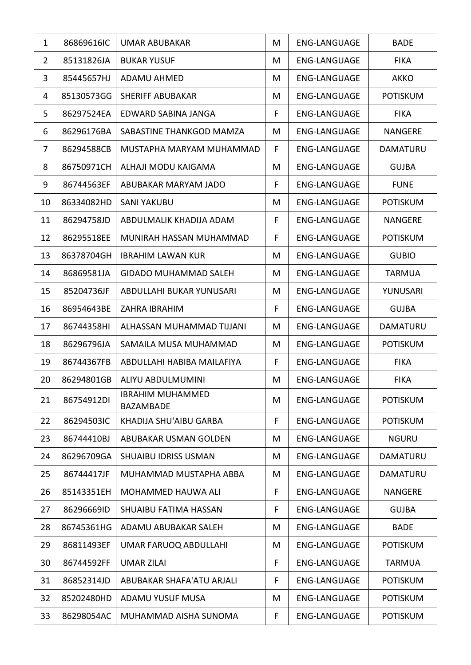| $\mathbf{1}$   | 86869616IC | UMAR ABUBAKAR                               | M  | <b>ENG-LANGUAGE</b> | <b>BADE</b>     |
|----------------|------------|---------------------------------------------|----|---------------------|-----------------|
| $\overline{2}$ | 85131826JA | <b>BUKAR YUSUF</b>                          | M  | <b>ENG-LANGUAGE</b> | <b>FIKA</b>     |
| 3              | 85445657HJ | ADAMU AHMED                                 | M  | <b>ENG-LANGUAGE</b> | <b>AKKO</b>     |
| 4              | 85130573GG | <b>SHERIFF ABUBAKAR</b>                     | M  | <b>ENG-LANGUAGE</b> | <b>POTISKUM</b> |
| 5              | 86297524EA | EDWARD SABINA JANGA                         | F  | <b>ENG-LANGUAGE</b> | <b>FIKA</b>     |
| 6              | 86296176BA | SABASTINE THANKGOD MAMZA                    | M  | <b>ENG-LANGUAGE</b> | <b>NANGERE</b>  |
| 7              | 86294588CB | MUSTAPHA MARYAM MUHAMMAD                    | F  | <b>ENG-LANGUAGE</b> | <b>DAMATURU</b> |
| 8              | 86750971CH | ALHAJI MODU KAIGAMA                         | M  | <b>ENG-LANGUAGE</b> | <b>GUJBA</b>    |
| 9              | 86744563EF | ABUBAKAR MARYAM JADO                        | F  | <b>ENG-LANGUAGE</b> | <b>FUNE</b>     |
| 10             | 86334082HD | <b>SANI YAKUBU</b>                          | M  | <b>ENG-LANGUAGE</b> | <b>POTISKUM</b> |
| 11             | 86294758JD | ABDULMALIK KHADIJA ADAM                     | F. | <b>ENG-LANGUAGE</b> | <b>NANGERE</b>  |
| 12             | 86295518EE | MUNIRAH HASSAN MUHAMMAD                     | F. | <b>ENG-LANGUAGE</b> | <b>POTISKUM</b> |
| 13             | 86378704GH | <b>IBRAHIM LAWAN KUR</b>                    | M  | <b>ENG-LANGUAGE</b> | <b>GUBIO</b>    |
| 14             | 86869581JA | GIDADO MUHAMMAD SALEH                       | M  | <b>ENG-LANGUAGE</b> | <b>TARMUA</b>   |
| 15             | 85204736JF | ABDULLAHI BUKAR YUNUSARI                    | M  | <b>ENG-LANGUAGE</b> | YUNUSARI        |
| 16             | 86954643BE | ZAHRA IBRAHIM                               | F  | <b>ENG-LANGUAGE</b> | <b>GUJBA</b>    |
| 17             | 86744358HI | ALHASSAN MUHAMMAD TIJJANI                   | M  | <b>ENG-LANGUAGE</b> | <b>DAMATURU</b> |
| 18             | 86296796JA | SAMAILA MUSA MUHAMMAD                       | M  | <b>ENG-LANGUAGE</b> | <b>POTISKUM</b> |
| 19             | 86744367FB | ABDULLAHI HABIBA MAILAFIYA                  | F. | <b>ENG-LANGUAGE</b> | <b>FIKA</b>     |
| 20             | 86294801GB | ALIYU ABDULMUMINI                           | M  | <b>ENG-LANGUAGE</b> | <b>FIKA</b>     |
| 21             | 86754912DI | <b>IBRAHIM MUHAMMED</b><br><b>BAZAMBADE</b> | M  | <b>ENG-LANGUAGE</b> | <b>POTISKUM</b> |
| 22             | 86294503IC | KHADIJA SHU'AIBU GARBA                      | F  | <b>ENG-LANGUAGE</b> | <b>POTISKUM</b> |
| 23             | 86744410BJ | ABUBAKAR USMAN GOLDEN                       | M  | <b>ENG-LANGUAGE</b> | <b>NGURU</b>    |
| 24             | 86296709GA | <b>SHUAIBU IDRISS USMAN</b>                 | M  | <b>ENG-LANGUAGE</b> | <b>DAMATURU</b> |
| 25             | 86744417JF | MUHAMMAD MUSTAPHA ABBA                      | M  | <b>ENG-LANGUAGE</b> | <b>DAMATURU</b> |
| 26             | 85143351EH | MOHAMMED HAUWA ALI                          | F  | <b>ENG-LANGUAGE</b> | <b>NANGERE</b>  |
| 27             | 86296669ID | SHUAIBU FATIMA HASSAN                       | F  | <b>ENG-LANGUAGE</b> | <b>GUJBA</b>    |
| 28             | 86745361HG | ADAMU ABUBAKAR SALEH                        | M  | <b>ENG-LANGUAGE</b> | <b>BADE</b>     |
| 29             | 86811493EF | <b>UMAR FARUOQ ABDULLAHI</b>                | M  | <b>ENG-LANGUAGE</b> | <b>POTISKUM</b> |
| 30             | 86744592FF | <b>UMAR ZILAI</b>                           | F  | <b>ENG-LANGUAGE</b> | TARMUA          |
| 31             | 86852314JD | ABUBAKAR SHAFA'ATU ARJALI                   | F. | <b>ENG-LANGUAGE</b> | <b>POTISKUM</b> |
| 32             | 85202480HD | ADAMU YUSUF MUSA                            | M  | <b>ENG-LANGUAGE</b> | <b>POTISKUM</b> |
| 33             | 86298054AC | MUHAMMAD AISHA SUNOMA                       | F  | <b>ENG-LANGUAGE</b> | <b>POTISKUM</b> |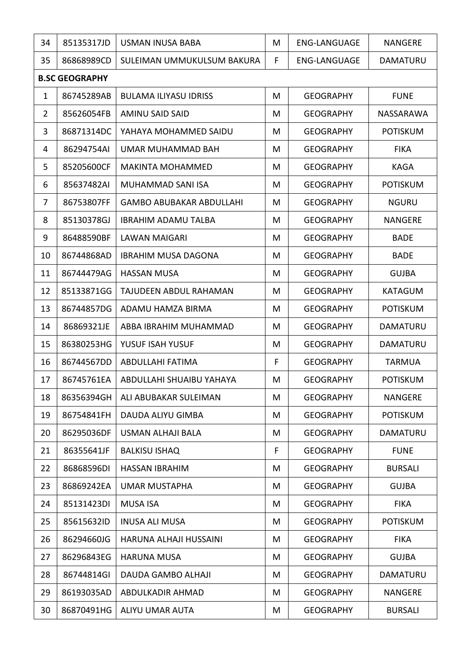| 34             | 85135317JD            | USMAN INUSA BABA                | M | <b>ENG-LANGUAGE</b> | <b>NANGERE</b>  |  |  |
|----------------|-----------------------|---------------------------------|---|---------------------|-----------------|--|--|
| 35             | 86868989CD            | SULEIMAN UMMUKULSUM BAKURA      | F | <b>ENG-LANGUAGE</b> | <b>DAMATURU</b> |  |  |
|                | <b>B.SC GEOGRAPHY</b> |                                 |   |                     |                 |  |  |
| $\mathbf{1}$   | 86745289AB            | <b>BULAMA ILIYASU IDRISS</b>    | M | <b>GEOGRAPHY</b>    | <b>FUNE</b>     |  |  |
| $\overline{2}$ | 85626054FB            | <b>AMINU SAID SAID</b>          | M | <b>GEOGRAPHY</b>    | NASSARAWA       |  |  |
| 3              | 86871314DC            | YAHAYA MOHAMMED SAIDU           | M | <b>GEOGRAPHY</b>    | <b>POTISKUM</b> |  |  |
| 4              | 86294754AI            | UMAR MUHAMMAD BAH               | M | <b>GEOGRAPHY</b>    | <b>FIKA</b>     |  |  |
| 5              | 85205600CF            | <b>MAKINTA MOHAMMED</b>         | M | <b>GEOGRAPHY</b>    | <b>KAGA</b>     |  |  |
| 6              | 85637482AI            | MUHAMMAD SANI ISA               | M | <b>GEOGRAPHY</b>    | <b>POTISKUM</b> |  |  |
| $\overline{7}$ | 86753807FF            | <b>GAMBO ABUBAKAR ABDULLAHI</b> | M | <b>GEOGRAPHY</b>    | <b>NGURU</b>    |  |  |
| 8              | 85130378GJ            | <b>IBRAHIM ADAMU TALBA</b>      | M | <b>GEOGRAPHY</b>    | <b>NANGERE</b>  |  |  |
| 9              | 86488590BF            | <b>LAWAN MAIGARI</b>            | M | <b>GEOGRAPHY</b>    | <b>BADE</b>     |  |  |
| 10             | 86744868AD            | <b>IBRAHIM MUSA DAGONA</b>      | M | <b>GEOGRAPHY</b>    | <b>BADE</b>     |  |  |
| 11             | 86744479AG            | <b>HASSAN MUSA</b>              | M | <b>GEOGRAPHY</b>    | <b>GUJBA</b>    |  |  |
| 12             | 85133871GG            | TAJUDEEN ABDUL RAHAMAN          | M | <b>GEOGRAPHY</b>    | <b>KATAGUM</b>  |  |  |
| 13             | 86744857DG            | ADAMU HAMZA BIRMA               | M | <b>GEOGRAPHY</b>    | <b>POTISKUM</b> |  |  |
| 14             | 86869321JE            | ABBA IBRAHIM MUHAMMAD           | M | <b>GEOGRAPHY</b>    | <b>DAMATURU</b> |  |  |
| 15             | 86380253HG            | YUSUF ISAH YUSUF                | M | <b>GEOGRAPHY</b>    | <b>DAMATURU</b> |  |  |
| 16             | 86744567DD            | ABDULLAHI FATIMA                | F | <b>GEOGRAPHY</b>    | <b>TARMUA</b>   |  |  |
| 17             | 86745761EA            | ABDULLAHI SHUAIBU YAHAYA        | M | <b>GEOGRAPHY</b>    | <b>POTISKUM</b> |  |  |
| 18             | 86356394GH            | ALI ABUBAKAR SULEIMAN           | M | <b>GEOGRAPHY</b>    | <b>NANGERE</b>  |  |  |
| 19             | 86754841FH            | DAUDA ALIYU GIMBA               | M | <b>GEOGRAPHY</b>    | <b>POTISKUM</b> |  |  |
| 20             | 86295036DF            | <b>USMAN ALHAJI BALA</b>        | M | <b>GEOGRAPHY</b>    | DAMATURU        |  |  |
| 21             | 86355641JF            | <b>BALKISU ISHAQ</b>            | F | <b>GEOGRAPHY</b>    | <b>FUNE</b>     |  |  |
| 22             | 86868596DI            | <b>HASSAN IBRAHIM</b>           | M | <b>GEOGRAPHY</b>    | <b>BURSALI</b>  |  |  |
| 23             | 86869242EA            | <b>UMAR MUSTAPHA</b>            | M | <b>GEOGRAPHY</b>    | <b>GUJBA</b>    |  |  |
| 24             | 85131423DI            | <b>MUSA ISA</b>                 | M | <b>GEOGRAPHY</b>    | <b>FIKA</b>     |  |  |
| 25             | 85615632ID            | <b>INUSA ALI MUSA</b>           | M | <b>GEOGRAPHY</b>    | <b>POTISKUM</b> |  |  |
| 26             | 86294660JG            | HARUNA ALHAJI HUSSAINI          | M | <b>GEOGRAPHY</b>    | <b>FIKA</b>     |  |  |
| 27             | 86296843EG            | <b>HARUNA MUSA</b>              | M | <b>GEOGRAPHY</b>    | <b>GUJBA</b>    |  |  |
| 28             | 86744814GI            | DAUDA GAMBO ALHAJI              | M | <b>GEOGRAPHY</b>    | DAMATURU        |  |  |
| 29             | 86193035AD            | ABDULKADIR AHMAD                | M | <b>GEOGRAPHY</b>    | <b>NANGERE</b>  |  |  |
| 30             | 86870491HG            | ALIYU UMAR AUTA                 | M | <b>GEOGRAPHY</b>    | <b>BURSALI</b>  |  |  |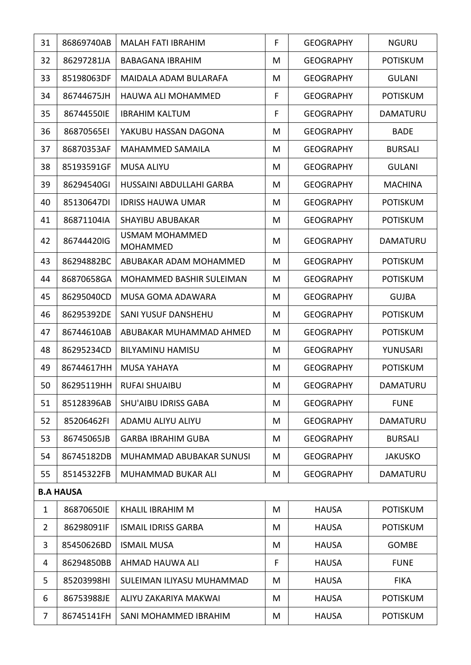| 31             | 86869740AB       | MALAH FATI IBRAHIM                       | F | <b>GEOGRAPHY</b> | <b>NGURU</b>    |
|----------------|------------------|------------------------------------------|---|------------------|-----------------|
| 32             | 86297281JA       | <b>BABAGANA IBRAHIM</b>                  | M | <b>GEOGRAPHY</b> | <b>POTISKUM</b> |
| 33             | 85198063DF       | MAIDALA ADAM BULARAFA                    | M | <b>GEOGRAPHY</b> | <b>GULANI</b>   |
| 34             | 86744675JH       | HAUWA ALI MOHAMMED                       | F | <b>GEOGRAPHY</b> | <b>POTISKUM</b> |
| 35             | 86744550IE       | <b>IBRAHIM KALTUM</b>                    | F | <b>GEOGRAPHY</b> | DAMATURU        |
| 36             | 86870565EI       | YAKUBU HASSAN DAGONA                     | M | <b>GEOGRAPHY</b> | <b>BADE</b>     |
| 37             | 86870353AF       | <b>MAHAMMED SAMAILA</b>                  | M | <b>GEOGRAPHY</b> | <b>BURSALI</b>  |
| 38             | 85193591GF       | <b>MUSA ALIYU</b>                        | M | <b>GEOGRAPHY</b> | <b>GULANI</b>   |
| 39             | 86294540GI       | HUSSAINI ABDULLAHI GARBA                 | M | <b>GEOGRAPHY</b> | <b>MACHINA</b>  |
| 40             | 85130647DI       | <b>IDRISS HAUWA UMAR</b>                 | M | <b>GEOGRAPHY</b> | <b>POTISKUM</b> |
| 41             | 86871104IA       | <b>SHAYIBU ABUBAKAR</b>                  | M | <b>GEOGRAPHY</b> | <b>POTISKUM</b> |
| 42             | 86744420IG       | <b>USMAM MOHAMMED</b><br><b>MOHAMMED</b> | M | <b>GEOGRAPHY</b> | <b>DAMATURU</b> |
| 43             | 86294882BC       | ABUBAKAR ADAM MOHAMMED                   | M | <b>GEOGRAPHY</b> | <b>POTISKUM</b> |
| 44             | 86870658GA       | MOHAMMED BASHIR SULEIMAN                 | M | <b>GEOGRAPHY</b> | <b>POTISKUM</b> |
| 45             | 86295040CD       | MUSA GOMA ADAWARA                        | M | <b>GEOGRAPHY</b> | <b>GUJBA</b>    |
| 46             | 86295392DE       | SANI YUSUF DANSHEHU                      | M | <b>GEOGRAPHY</b> | <b>POTISKUM</b> |
| 47             | 86744610AB       | ABUBAKAR MUHAMMAD AHMED                  | M | <b>GEOGRAPHY</b> | <b>POTISKUM</b> |
| 48             | 86295234CD       | <b>BILYAMINU HAMISU</b>                  | M | <b>GEOGRAPHY</b> | YUNUSARI        |
| 49             | 86744617HH       | <b>MUSA YAHAYA</b>                       | M | <b>GEOGRAPHY</b> | <b>POTISKUM</b> |
| 50             |                  | 86295119HH   RUFAI SHUAIBU               | M | <b>GEOGRAPHY</b> | DAMATURU        |
| 51             | 85128396AB       | <b>SHU'AIBU IDRISS GABA</b>              | M | <b>GEOGRAPHY</b> | <b>FUNE</b>     |
| 52             | 85206462FI       | ADAMU ALIYU ALIYU                        | M | <b>GEOGRAPHY</b> | DAMATURU        |
| 53             | 86745065JB       | <b>GARBA IBRAHIM GUBA</b>                | M | <b>GEOGRAPHY</b> | <b>BURSALI</b>  |
| 54             | 86745182DB       | MUHAMMAD ABUBAKAR SUNUSI                 | M | <b>GEOGRAPHY</b> | <b>JAKUSKO</b>  |
| 55             | 85145322FB       | MUHAMMAD BUKAR ALI                       | M | <b>GEOGRAPHY</b> | DAMATURU        |
|                | <b>B.A HAUSA</b> |                                          |   |                  |                 |
| $\mathbf{1}$   | 86870650IE       | KHALIL IBRAHIM M                         | M | <b>HAUSA</b>     | <b>POTISKUM</b> |
| $\overline{2}$ | 86298091IF       | <b>ISMAIL IDRISS GARBA</b>               | M | <b>HAUSA</b>     | <b>POTISKUM</b> |
| 3              | 85450626BD       | <b>ISMAIL MUSA</b>                       | M | <b>HAUSA</b>     | <b>GOMBE</b>    |
| 4              | 86294850BB       | AHMAD HAUWA ALI                          | F | <b>HAUSA</b>     | <b>FUNE</b>     |
| 5              | 85203998HI       | SULEIMAN ILIYASU MUHAMMAD                | M | <b>HAUSA</b>     | <b>FIKA</b>     |
| 6              | 86753988JE       | ALIYU ZAKARIYA MAKWAI                    | M | <b>HAUSA</b>     | <b>POTISKUM</b> |
| 7              | 86745141FH       | SANI MOHAMMED IBRAHIM                    | M | <b>HAUSA</b>     | <b>POTISKUM</b> |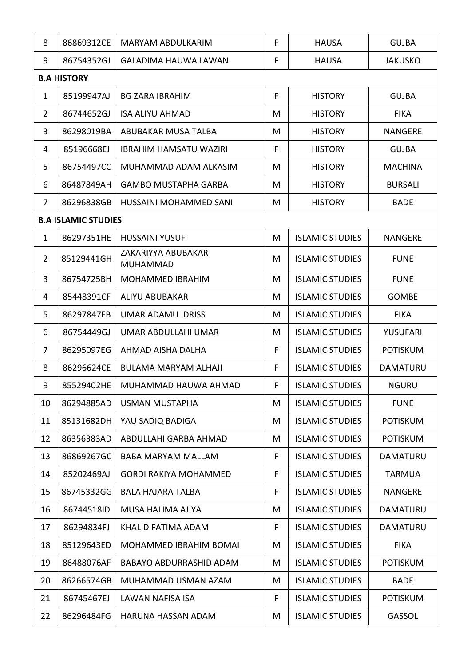| 8              | 86869312CE                 | MARYAM ABDULKARIM                     | F | <b>HAUSA</b>           | <b>GUJBA</b>    |  |  |
|----------------|----------------------------|---------------------------------------|---|------------------------|-----------------|--|--|
| 9              | 86754352GJ                 | <b>GALADIMA HAUWA LAWAN</b>           | F | <b>HAUSA</b>           | <b>JAKUSKO</b>  |  |  |
|                | <b>B.A HISTORY</b>         |                                       |   |                        |                 |  |  |
| $\mathbf{1}$   | 85199947AJ                 | <b>BG ZARA IBRAHIM</b>                | F | <b>HISTORY</b>         | <b>GUJBA</b>    |  |  |
| $\overline{2}$ | 86744652GJ                 | <b>ISA ALIYU AHMAD</b>                | M | <b>HISTORY</b>         | <b>FIKA</b>     |  |  |
| 3              | 86298019BA                 | ABUBAKAR MUSA TALBA                   | M | <b>HISTORY</b>         | <b>NANGERE</b>  |  |  |
| 4              | 85196668EJ                 | <b>IBRAHIM HAMSATU WAZIRI</b>         | F | <b>HISTORY</b>         | <b>GUJBA</b>    |  |  |
| 5              | 86754497CC                 | MUHAMMAD ADAM ALKASIM                 | M | <b>HISTORY</b>         | <b>MACHINA</b>  |  |  |
| 6              | 86487849AH                 | <b>GAMBO MUSTAPHA GARBA</b>           | M | <b>HISTORY</b>         | <b>BURSALI</b>  |  |  |
| $\overline{7}$ | 86296838GB                 | HUSSAINI MOHAMMED SANI                | M | <b>HISTORY</b>         | <b>BADE</b>     |  |  |
|                | <b>B.A ISLAMIC STUDIES</b> |                                       |   |                        |                 |  |  |
| $\mathbf{1}$   | 86297351HE                 | <b>HUSSAINI YUSUF</b>                 | M | <b>ISLAMIC STUDIES</b> | <b>NANGERE</b>  |  |  |
| $\overline{2}$ | 85129441GH                 | ZAKARIYYA ABUBAKAR<br><b>MUHAMMAD</b> | M | <b>ISLAMIC STUDIES</b> | <b>FUNE</b>     |  |  |
| 3              | 86754725BH                 | <b>MOHAMMED IBRAHIM</b>               | M | <b>ISLAMIC STUDIES</b> | <b>FUNE</b>     |  |  |
| 4              | 85448391CF                 | ALIYU ABUBAKAR                        | M | <b>ISLAMIC STUDIES</b> | <b>GOMBE</b>    |  |  |
| 5              | 86297847EB                 | <b>UMAR ADAMU IDRISS</b>              | M | <b>ISLAMIC STUDIES</b> | <b>FIKA</b>     |  |  |
| 6              | 86754449GJ                 | UMAR ABDULLAHI UMAR                   | M | <b>ISLAMIC STUDIES</b> | <b>YUSUFARI</b> |  |  |
| $\overline{7}$ | 86295097EG                 | AHMAD AISHA DALHA                     | F | <b>ISLAMIC STUDIES</b> | <b>POTISKUM</b> |  |  |
| 8              | 86296624CE                 | BULAMA MARYAM ALHAJI                  | F | <b>ISLAMIC STUDIES</b> | <b>DAMATURU</b> |  |  |
| q              | 85529402HE                 | MUHAMMAD HAUWA AHMAD                  | F | <b>ISLAMIC STUDIES</b> | <b>NGURU</b>    |  |  |
| 10             | 86294885AD                 | USMAN MUSTAPHA                        | M | <b>ISLAMIC STUDIES</b> | <b>FUNE</b>     |  |  |
| 11             | 85131682DH                 | YAU SADIQ BADIGA                      | M | <b>ISLAMIC STUDIES</b> | <b>POTISKUM</b> |  |  |
| 12             | 86356383AD                 | ABDULLAHI GARBA AHMAD                 | M | <b>ISLAMIC STUDIES</b> | <b>POTISKUM</b> |  |  |
| 13             | 86869267GC                 | <b>BABA MARYAM MALLAM</b>             | F | <b>ISLAMIC STUDIES</b> | <b>DAMATURU</b> |  |  |
| 14             | 85202469AJ                 | <b>GORDI RAKIYA MOHAMMED</b>          | F | <b>ISLAMIC STUDIES</b> | <b>TARMUA</b>   |  |  |
| 15             | 86745332GG                 | <b>BALA HAJARA TALBA</b>              | F | <b>ISLAMIC STUDIES</b> | <b>NANGERE</b>  |  |  |
| 16             | 86744518ID                 | MUSA HALIMA AJIYA                     | M | <b>ISLAMIC STUDIES</b> | DAMATURU        |  |  |
| 17             | 86294834FJ                 | KHALID FATIMA ADAM                    | F | <b>ISLAMIC STUDIES</b> | DAMATURU        |  |  |
| 18             | 85129643ED                 | MOHAMMED IBRAHIM BOMAI                | M | <b>ISLAMIC STUDIES</b> | <b>FIKA</b>     |  |  |
| 19             | 86488076AF                 | BABAYO ABDURRASHID ADAM               | M | <b>ISLAMIC STUDIES</b> | <b>POTISKUM</b> |  |  |
| 20             | 86266574GB                 | MUHAMMAD USMAN AZAM                   | M | <b>ISLAMIC STUDIES</b> | <b>BADE</b>     |  |  |
| 21             | 86745467EJ                 | LAWAN NAFISA ISA                      | F | <b>ISLAMIC STUDIES</b> | <b>POTISKUM</b> |  |  |
| 22             | 86296484FG                 | HARUNA HASSAN ADAM                    | M | <b>ISLAMIC STUDIES</b> | GASSOL          |  |  |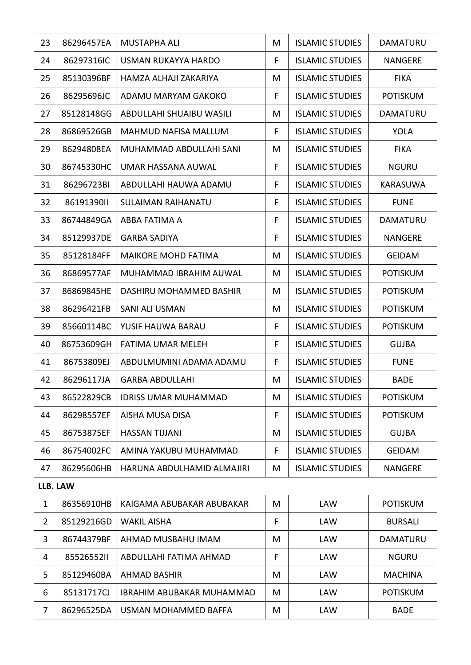| 23             | 86296457EA | <b>MUSTAPHA ALI</b>              | M  | <b>ISLAMIC STUDIES</b> | <b>DAMATURU</b> |
|----------------|------------|----------------------------------|----|------------------------|-----------------|
| 24             | 86297316IC | USMAN RUKAYYA HARDO              | F  | <b>ISLAMIC STUDIES</b> | <b>NANGERE</b>  |
| 25             | 85130396BF | HAMZA ALHAJI ZAKARIYA            | M  | <b>ISLAMIC STUDIES</b> | <b>FIKA</b>     |
| 26             | 86295696JC | ADAMU MARYAM GAKOKO              | F  | <b>ISLAMIC STUDIES</b> | <b>POTISKUM</b> |
| 27             | 85128148GG | ABDULLAHI SHUAIBU WASILI         | M  | <b>ISLAMIC STUDIES</b> | DAMATURU        |
| 28             | 86869526GB | MAHMUD NAFISA MALLUM             | F  | <b>ISLAMIC STUDIES</b> | <b>YOLA</b>     |
| 29             | 86294808EA | MUHAMMAD ABDULLAHI SANI          | M  | <b>ISLAMIC STUDIES</b> | <b>FIKA</b>     |
| 30             | 86745330HC | UMAR HASSANA AUWAL               | F. | <b>ISLAMIC STUDIES</b> | <b>NGURU</b>    |
| 31             | 86296723BI | ABDULLAHI HAUWA ADAMU            | F. | <b>ISLAMIC STUDIES</b> | <b>KARASUWA</b> |
| 32             | 86191390II | <b>SULAIMAN RAIHANATU</b>        | F  | <b>ISLAMIC STUDIES</b> | <b>FUNE</b>     |
| 33             | 86744849GA | ABBA FATIMA A                    | F  | <b>ISLAMIC STUDIES</b> | DAMATURU        |
| 34             | 85129937DE | <b>GARBA SADIYA</b>              | F  | <b>ISLAMIC STUDIES</b> | <b>NANGERE</b>  |
| 35             | 85128184FF | <b>MAIKORE MOHD FATIMA</b>       | M  | <b>ISLAMIC STUDIES</b> | <b>GEIDAM</b>   |
| 36             | 86869577AF | MUHAMMAD IBRAHIM AUWAL           | M  | <b>ISLAMIC STUDIES</b> | <b>POTISKUM</b> |
| 37             | 86869845HE | DASHIRU MOHAMMED BASHIR          | M  | <b>ISLAMIC STUDIES</b> | <b>POTISKUM</b> |
| 38             | 86296421FB | <b>SANI ALI USMAN</b>            | M  | <b>ISLAMIC STUDIES</b> | <b>POTISKUM</b> |
| 39             | 85660114BC | YUSIF HAUWA BARAU                | F  | <b>ISLAMIC STUDIES</b> | <b>POTISKUM</b> |
| 40             | 86753609GH | <b>FATIMA UMAR MELEH</b>         | F  | <b>ISLAMIC STUDIES</b> | <b>GUJBA</b>    |
| 41             | 86753809EJ | ABDULMUMINI ADAMA ADAMU          | F  | <b>ISLAMIC STUDIES</b> | <b>FUNE</b>     |
| 42             | 86296117JA | <b>GARBA ABDULLAHI</b>           | M  | <b>ISLAMIC STUDIES</b> | <b>BADE</b>     |
| 43             | 86522829CB | <b>IDRISS UMAR MUHAMMAD</b>      | M  | <b>ISLAMIC STUDIES</b> | <b>POTISKUM</b> |
| 44             | 86298557EF | <b>AISHA MUSA DISA</b>           | F  | <b>ISLAMIC STUDIES</b> | <b>POTISKUM</b> |
| 45             | 86753875EF | <b>HASSAN TIJJANI</b>            | M  | <b>ISLAMIC STUDIES</b> | <b>GUJBA</b>    |
| 46             | 86754002FC | AMINA YAKUBU MUHAMMAD            | F  | <b>ISLAMIC STUDIES</b> | <b>GEIDAM</b>   |
| 47             | 86295606HB | HARUNA ABDULHAMID ALMAJIRI       | M  | <b>ISLAMIC STUDIES</b> | NANGERE         |
| LLB. LAW       |            |                                  |    |                        |                 |
| $\mathbf{1}$   | 86356910HB | KAIGAMA ABUBAKAR ABUBAKAR        | M  | LAW                    | <b>POTISKUM</b> |
| $\overline{2}$ | 85129216GD | <b>WAKIL AISHA</b>               | F  | <b>LAW</b>             | <b>BURSALI</b>  |
| 3              | 86744379BF | AHMAD MUSBAHU IMAM               | M  | LAW                    | <b>DAMATURU</b> |
| 4              | 8552655211 | ABDULLAHI FATIMA AHMAD           | F  | LAW                    | <b>NGURU</b>    |
| 5              | 85129460BA | <b>AHMAD BASHIR</b>              | M  | <b>LAW</b>             | <b>MACHINA</b>  |
| 6              | 85131717CJ | <b>IBRAHIM ABUBAKAR MUHAMMAD</b> | M  | <b>LAW</b>             | <b>POTISKUM</b> |
| $\overline{7}$ | 86296525DA | USMAN MOHAMMED BAFFA             | M  | LAW                    | <b>BADE</b>     |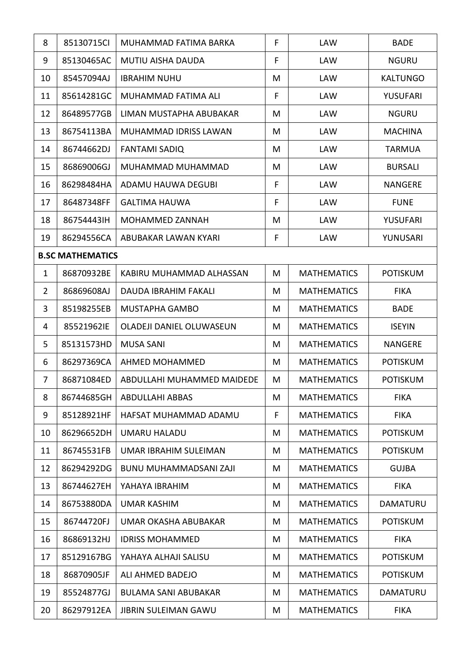| 8              | 85130715CI              | MUHAMMAD FATIMA BARKA       | F | <b>LAW</b>         | <b>BADE</b>     |
|----------------|-------------------------|-----------------------------|---|--------------------|-----------------|
| 9              | 85130465AC              | <b>MUTIU AISHA DAUDA</b>    | F | LAW                | <b>NGURU</b>    |
| 10             | 85457094AJ              | <b>IBRAHIM NUHU</b>         | M | <b>LAW</b>         | <b>KALTUNGO</b> |
| 11             | 85614281GC              | MUHAMMAD FATIMA ALI         | F | <b>LAW</b>         | <b>YUSUFARI</b> |
| 12             | 86489577GB              | LIMAN MUSTAPHA ABUBAKAR     | M | <b>LAW</b>         | <b>NGURU</b>    |
| 13             | 86754113BA              | MUHAMMAD IDRISS LAWAN       | M | <b>LAW</b>         | <b>MACHINA</b>  |
| 14             | 86744662DJ              | <b>FANTAMI SADIQ</b>        | M | <b>LAW</b>         | <b>TARMUA</b>   |
| 15             | 86869006GJ              | MUHAMMAD MUHAMMAD           | M | <b>LAW</b>         | <b>BURSALI</b>  |
| 16             | 86298484HA              | ADAMU HAUWA DEGUBI          | F | <b>LAW</b>         | <b>NANGERE</b>  |
| 17             | 86487348FF              | <b>GALTIMA HAUWA</b>        | F | LAW                | <b>FUNE</b>     |
| 18             | 86754443IH              | MOHAMMED ZANNAH             | M | <b>LAW</b>         | <b>YUSUFARI</b> |
| 19             | 86294556CA              | ABUBAKAR LAWAN KYARI        | F | <b>LAW</b>         | YUNUSARI        |
|                | <b>B.SC MATHEMATICS</b> |                             |   |                    |                 |
| $\mathbf{1}$   | 86870932BE              | KABIRU MUHAMMAD ALHASSAN    | M | <b>MATHEMATICS</b> | <b>POTISKUM</b> |
| $\overline{2}$ | 86869608AJ              | <b>DAUDA IBRAHIM FAKALI</b> | M | <b>MATHEMATICS</b> | <b>FIKA</b>     |
| 3              | 85198255EB              | MUSTAPHA GAMBO              | M | <b>MATHEMATICS</b> | <b>BADE</b>     |
| 4              | 85521962IE              | OLADEJI DANIEL OLUWASEUN    | M | <b>MATHEMATICS</b> | <b>ISEYIN</b>   |
| 5              | 85131573HD              | <b>MUSA SANI</b>            | M | <b>MATHEMATICS</b> | <b>NANGERE</b>  |
| 6              | 86297369CA              | <b>AHMED MOHAMMED</b>       | M | <b>MATHEMATICS</b> | <b>POTISKUM</b> |
| $\overline{7}$ | 86871084ED              | ABDULLAHI MUHAMMED MAIDEDE  | M | <b>MATHEMATICS</b> | <b>POTISKUM</b> |
| 8              | 86744685GH              | <b>ABDULLAHI ABBAS</b>      | M | <b>MATHEMATICS</b> | <b>FIKA</b>     |
| 9              | 85128921HF              | HAFSAT MUHAMMAD ADAMU       | F | <b>MATHEMATICS</b> | <b>FIKA</b>     |
| 10             | 86296652DH              | <b>UMARU HALADU</b>         | M | <b>MATHEMATICS</b> | <b>POTISKUM</b> |
| 11             | 86745531FB              | UMAR IBRAHIM SULEIMAN       | M | <b>MATHEMATICS</b> | <b>POTISKUM</b> |
| 12             | 86294292DG              | BUNU MUHAMMADSANI ZAJI      | M | <b>MATHEMATICS</b> | <b>GUJBA</b>    |
| 13             | 86744627EH              | YAHAYA IBRAHIM              | M | <b>MATHEMATICS</b> | <b>FIKA</b>     |
| 14             | 86753880DA              | <b>UMAR KASHIM</b>          | M | <b>MATHEMATICS</b> | <b>DAMATURU</b> |
| 15             | 86744720FJ              | <b>UMAR OKASHA ABUBAKAR</b> | M | <b>MATHEMATICS</b> | <b>POTISKUM</b> |
| 16             | 86869132HJ              | <b>IDRISS MOHAMMED</b>      | M | <b>MATHEMATICS</b> | <b>FIKA</b>     |
| 17             | 85129167BG              | YAHAYA ALHAJI SALISU        | M | <b>MATHEMATICS</b> | <b>POTISKUM</b> |
| 18             | 86870905JF              | ALI AHMED BADEJO            | M | <b>MATHEMATICS</b> | <b>POTISKUM</b> |
| 19             | 85524877GJ              | <b>BULAMA SANI ABUBAKAR</b> | M | <b>MATHEMATICS</b> | DAMATURU        |
| 20             | 86297912EA              | <b>JIBRIN SULEIMAN GAWU</b> | M | <b>MATHEMATICS</b> | <b>FIKA</b>     |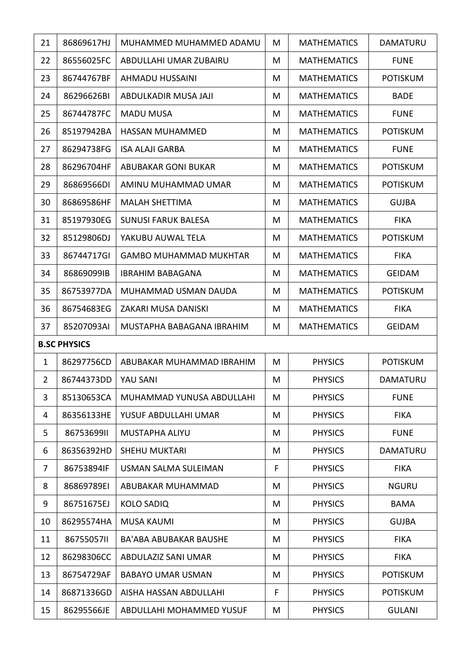| 21             | 86869617HJ          | MUHAMMED MUHAMMED ADAMU       | M | <b>MATHEMATICS</b> | DAMATURU        |
|----------------|---------------------|-------------------------------|---|--------------------|-----------------|
| 22             | 86556025FC          | ABDULLAHI UMAR ZUBAIRU        | M | <b>MATHEMATICS</b> | <b>FUNE</b>     |
| 23             | 86744767BF          | <b>AHMADU HUSSAINI</b>        | M | <b>MATHEMATICS</b> | <b>POTISKUM</b> |
| 24             | 86296626BI          | ABDULKADIR MUSA JAJI          | M | <b>MATHEMATICS</b> | <b>BADE</b>     |
| 25             | 86744787FC          | <b>MADU MUSA</b>              | M | <b>MATHEMATICS</b> | <b>FUNE</b>     |
| 26             | 85197942BA          | <b>HASSAN MUHAMMED</b>        | M | <b>MATHEMATICS</b> | <b>POTISKUM</b> |
| 27             | 86294738FG          | <b>ISA ALAJI GARBA</b>        | M | <b>MATHEMATICS</b> | <b>FUNE</b>     |
| 28             | 86296704HF          | ABUBAKAR GONI BUKAR           | M | <b>MATHEMATICS</b> | <b>POTISKUM</b> |
| 29             | 86869566DI          | AMINU MUHAMMAD UMAR           | M | <b>MATHEMATICS</b> | <b>POTISKUM</b> |
| 30             | 86869586HF          | <b>MALAH SHETTIMA</b>         | M | <b>MATHEMATICS</b> | <b>GUJBA</b>    |
| 31             | 85197930EG          | <b>SUNUSI FARUK BALESA</b>    | M | <b>MATHEMATICS</b> | <b>FIKA</b>     |
| 32             | 85129806DJ          | YAKUBU AUWAL TELA             | M | <b>MATHEMATICS</b> | <b>POTISKUM</b> |
| 33             | 86744717GI          | <b>GAMBO MUHAMMAD MUKHTAR</b> | M | <b>MATHEMATICS</b> | <b>FIKA</b>     |
| 34             | 86869099IB          | <b>IBRAHIM BABAGANA</b>       | M | <b>MATHEMATICS</b> | <b>GEIDAM</b>   |
| 35             | 86753977DA          | MUHAMMAD USMAN DAUDA          | M | <b>MATHEMATICS</b> | <b>POTISKUM</b> |
| 36             | 86754683EG          | ZAKARI MUSA DANISKI           | M | <b>MATHEMATICS</b> | <b>FIKA</b>     |
| 37             | 85207093AI          | MUSTAPHA BABAGANA IBRAHIM     | M | <b>MATHEMATICS</b> | <b>GEIDAM</b>   |
|                | <b>B.SC PHYSICS</b> |                               |   |                    |                 |
| $\mathbf{1}$   | 86297756CD          | ABUBAKAR MUHAMMAD IBRAHIM     | M | <b>PHYSICS</b>     | <b>POTISKUM</b> |
| $\overline{2}$ | 86744373DD          | YAU SANI                      | M | <b>PHYSICS</b>     | <b>DAMATURU</b> |
| 3              | 85130653CA          | MUHAMMAD YUNUSA ABDULLAHI     | M | <b>PHYSICS</b>     | <b>FUNE</b>     |
| 4              | 86356133HE          | YUSUF ABDULLAHI UMAR          | M | <b>PHYSICS</b>     | <b>FIKA</b>     |
| 5              | 8675369911          | MUSTAPHA ALIYU                | M | <b>PHYSICS</b>     | <b>FUNE</b>     |
| 6              | 86356392HD          | <b>SHEHU MUKTARI</b>          | M | <b>PHYSICS</b>     | DAMATURU        |
| $\overline{7}$ | 86753894IF          | USMAN SALMA SULEIMAN          | F | <b>PHYSICS</b>     | <b>FIKA</b>     |
| 8              | 86869789EI          | ABUBAKAR MUHAMMAD             | M | <b>PHYSICS</b>     | <b>NGURU</b>    |
| 9              | 86751675EJ          | <b>KOLO SADIQ</b>             | M | <b>PHYSICS</b>     | <b>BAMA</b>     |
| 10             | 86295574HA          | <b>MUSA KAUMI</b>             | M | <b>PHYSICS</b>     | <b>GUJBA</b>    |
| 11             | 8675505711          | <b>BA'ABA ABUBAKAR BAUSHE</b> | M | <b>PHYSICS</b>     | <b>FIKA</b>     |
| 12             | 86298306CC          | ABDULAZIZ SANI UMAR           | M | <b>PHYSICS</b>     | <b>FIKA</b>     |
| 13             | 86754729AF          | <b>BABAYO UMAR USMAN</b>      | M | <b>PHYSICS</b>     | <b>POTISKUM</b> |
| 14             | 86871336GD          | AISHA HASSAN ABDULLAHI        | F | <b>PHYSICS</b>     | <b>POTISKUM</b> |
| 15             | 86295566JE          | ABDULLAHI MOHAMMED YUSUF      | M | <b>PHYSICS</b>     | <b>GULANI</b>   |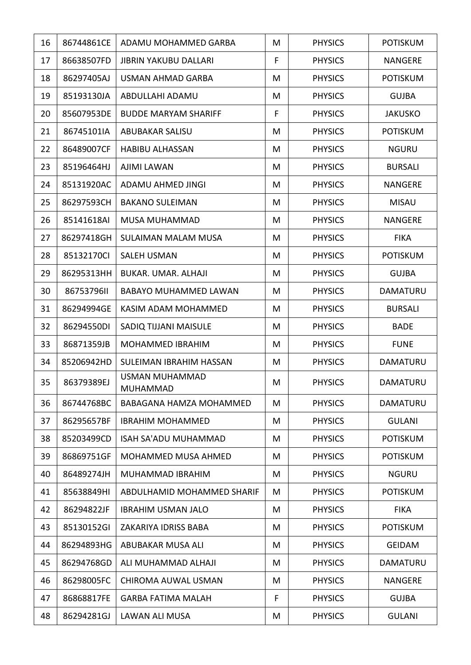| 16 | 86744861CE | ADAMU MOHAMMED GARBA              | M | <b>PHYSICS</b> | <b>POTISKUM</b> |
|----|------------|-----------------------------------|---|----------------|-----------------|
| 17 | 86638507FD | <b>JIBRIN YAKUBU DALLARI</b>      | F | <b>PHYSICS</b> | <b>NANGERE</b>  |
| 18 | 86297405AJ | <b>USMAN AHMAD GARBA</b>          | M | <b>PHYSICS</b> | <b>POTISKUM</b> |
| 19 | 85193130JA | ABDULLAHI ADAMU                   | M | <b>PHYSICS</b> | <b>GUJBA</b>    |
| 20 | 85607953DE | <b>BUDDE MARYAM SHARIFF</b>       | F | <b>PHYSICS</b> | <b>JAKUSKO</b>  |
| 21 | 86745101IA | <b>ABUBAKAR SALISU</b>            | M | <b>PHYSICS</b> | <b>POTISKUM</b> |
| 22 | 86489007CF | <b>HABIBU ALHASSAN</b>            | M | <b>PHYSICS</b> | <b>NGURU</b>    |
| 23 | 85196464HJ | <b>AJIMI LAWAN</b>                | M | <b>PHYSICS</b> | <b>BURSALI</b>  |
| 24 | 85131920AC | ADAMU AHMED JINGI                 | M | <b>PHYSICS</b> | <b>NANGERE</b>  |
| 25 | 86297593CH | <b>BAKANO SULEIMAN</b>            | M | <b>PHYSICS</b> | <b>MISAU</b>    |
| 26 | 85141618AI | MUSA MUHAMMAD                     | M | <b>PHYSICS</b> | <b>NANGERE</b>  |
| 27 | 86297418GH | <b>SULAIMAN MALAM MUSA</b>        | M | <b>PHYSICS</b> | <b>FIKA</b>     |
| 28 | 85132170Cl | <b>SALEH USMAN</b>                | M | <b>PHYSICS</b> | <b>POTISKUM</b> |
| 29 | 86295313HH | BUKAR. UMAR. ALHAJI               | M | <b>PHYSICS</b> | <b>GUJBA</b>    |
| 30 | 86753796II | <b>BABAYO MUHAMMED LAWAN</b>      | M | <b>PHYSICS</b> | <b>DAMATURU</b> |
| 31 | 86294994GE | KASIM ADAM MOHAMMED               | M | <b>PHYSICS</b> | <b>BURSALI</b>  |
| 32 | 86294550DI | SADIQ TIJJANI MAISULE             | M | <b>PHYSICS</b> | <b>BADE</b>     |
| 33 | 86871359JB | <b>MOHAMMED IBRAHIM</b>           | M | <b>PHYSICS</b> | <b>FUNE</b>     |
| 34 | 85206942HD | SULEIMAN IBRAHIM HASSAN           | M | <b>PHYSICS</b> | <b>DAMATURU</b> |
| 35 | 86379389EJ | USMAN MUHAMMAD<br><b>MUHAMMAD</b> | M | <b>PHYSICS</b> | <b>DAMATURU</b> |
| 36 | 86744768BC | BABAGANA HAMZA MOHAMMED           | M | <b>PHYSICS</b> | <b>DAMATURU</b> |
| 37 | 86295657BF | <b>IBRAHIM MOHAMMED</b>           | M | <b>PHYSICS</b> | <b>GULANI</b>   |
| 38 | 85203499CD | ISAH SA'ADU MUHAMMAD              | M | <b>PHYSICS</b> | <b>POTISKUM</b> |
| 39 | 86869751GF | <b>MOHAMMED MUSA AHMED</b>        | M | <b>PHYSICS</b> | <b>POTISKUM</b> |
| 40 | 86489274JH | MUHAMMAD IBRAHIM                  | M | <b>PHYSICS</b> | <b>NGURU</b>    |
| 41 | 85638849HI | ABDULHAMID MOHAMMED SHARIF        | M | <b>PHYSICS</b> | <b>POTISKUM</b> |
| 42 | 86294822JF | <b>IBRAHIM USMAN JALO</b>         | M | <b>PHYSICS</b> | <b>FIKA</b>     |
| 43 | 85130152GI | ZAKARIYA IDRISS BABA              | M | <b>PHYSICS</b> | <b>POTISKUM</b> |
| 44 | 86294893HG | ABUBAKAR MUSA ALI                 | M | <b>PHYSICS</b> | <b>GEIDAM</b>   |
| 45 | 86294768GD | ALI MUHAMMAD ALHAJI               | M | <b>PHYSICS</b> | <b>DAMATURU</b> |
| 46 | 86298005FC | CHIROMA AUWAL USMAN               | M | <b>PHYSICS</b> | <b>NANGERE</b>  |
| 47 | 86868817FE | <b>GARBA FATIMA MALAH</b>         | F | <b>PHYSICS</b> | <b>GUJBA</b>    |
| 48 | 86294281GJ | LAWAN ALI MUSA                    | M | <b>PHYSICS</b> | <b>GULANI</b>   |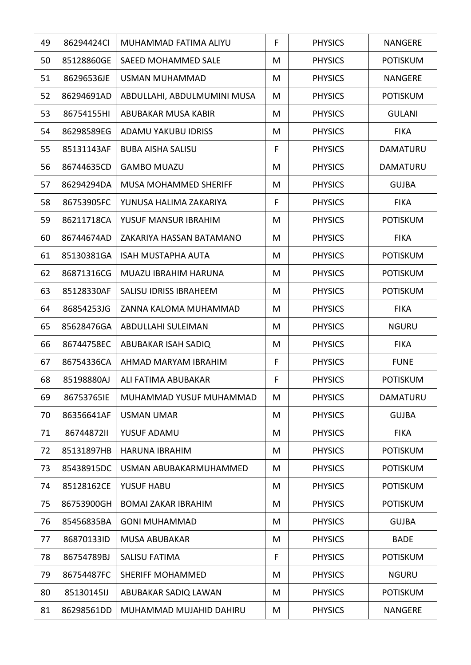| 49 | 86294424Cl | MUHAMMAD FATIMA ALIYU         | F | <b>PHYSICS</b> | <b>NANGERE</b>  |
|----|------------|-------------------------------|---|----------------|-----------------|
| 50 | 85128860GE | SAEED MOHAMMED SALE           | M | <b>PHYSICS</b> | <b>POTISKUM</b> |
| 51 | 86296536JE | <b>USMAN MUHAMMAD</b>         | M | <b>PHYSICS</b> | <b>NANGERE</b>  |
| 52 | 86294691AD | ABDULLAHI, ABDULMUMINI MUSA   | M | <b>PHYSICS</b> | <b>POTISKUM</b> |
| 53 | 86754155HI | ABUBAKAR MUSA KABIR           | M | <b>PHYSICS</b> | <b>GULANI</b>   |
| 54 | 86298589EG | ADAMU YAKUBU IDRISS           | M | <b>PHYSICS</b> | <b>FIKA</b>     |
| 55 | 85131143AF | <b>BUBA AISHA SALISU</b>      | F | <b>PHYSICS</b> | DAMATURU        |
| 56 | 86744635CD | <b>GAMBO MUAZU</b>            | M | <b>PHYSICS</b> | DAMATURU        |
| 57 | 86294294DA | <b>MUSA MOHAMMED SHERIFF</b>  | M | <b>PHYSICS</b> | <b>GUJBA</b>    |
| 58 | 86753905FC | YUNUSA HALIMA ZAKARIYA        | F | <b>PHYSICS</b> | <b>FIKA</b>     |
| 59 | 86211718CA | YUSUF MANSUR IBRAHIM          | M | <b>PHYSICS</b> | <b>POTISKUM</b> |
| 60 | 86744674AD | ZAKARIYA HASSAN BATAMANO      | M | <b>PHYSICS</b> | <b>FIKA</b>     |
| 61 | 85130381GA | <b>ISAH MUSTAPHA AUTA</b>     | M | <b>PHYSICS</b> | <b>POTISKUM</b> |
| 62 | 86871316CG | MUAZU IBRAHIM HARUNA          | M | <b>PHYSICS</b> | <b>POTISKUM</b> |
| 63 | 85128330AF | <b>SALISU IDRISS IBRAHEEM</b> | M | <b>PHYSICS</b> | <b>POTISKUM</b> |
| 64 | 86854253JG | ZANNA KALOMA MUHAMMAD         | M | <b>PHYSICS</b> | <b>FIKA</b>     |
| 65 | 85628476GA | ABDULLAHI SULEIMAN            | M | <b>PHYSICS</b> | <b>NGURU</b>    |
| 66 | 86744758EC | ABUBAKAR ISAH SADIQ           | M | <b>PHYSICS</b> | <b>FIKA</b>     |
| 67 | 86754336CA | AHMAD MARYAM IBRAHIM          | F | <b>PHYSICS</b> | <b>FUNE</b>     |
| 68 | 85198880AJ | ALI FATIMA ABUBAKAR           | F | <b>PHYSICS</b> | <b>POTISKUM</b> |
| 69 | 86753765IE | MUHAMMAD YUSUF MUHAMMAD       | M | <b>PHYSICS</b> | <b>DAMATURU</b> |
| 70 | 86356641AF | <b>USMAN UMAR</b>             | M | <b>PHYSICS</b> | <b>GUJBA</b>    |
| 71 | 8674487211 | YUSUF ADAMU                   | M | <b>PHYSICS</b> | <b>FIKA</b>     |
| 72 | 85131897HB | <b>HARUNA IBRAHIM</b>         | M | <b>PHYSICS</b> | <b>POTISKUM</b> |
| 73 | 85438915DC | USMAN ABUBAKARMUHAMMED        | M | <b>PHYSICS</b> | <b>POTISKUM</b> |
| 74 | 85128162CE | YUSUF HABU                    | M | <b>PHYSICS</b> | <b>POTISKUM</b> |
| 75 | 86753900GH | <b>BOMAI ZAKAR IBRAHIM</b>    | M | <b>PHYSICS</b> | <b>POTISKUM</b> |
| 76 | 85456835BA | <b>GONI MUHAMMAD</b>          | M | <b>PHYSICS</b> | <b>GUJBA</b>    |
| 77 | 86870133ID | <b>MUSA ABUBAKAR</b>          | M | <b>PHYSICS</b> | <b>BADE</b>     |
| 78 | 86754789BJ | <b>SALISU FATIMA</b>          | F | <b>PHYSICS</b> | <b>POTISKUM</b> |
| 79 | 86754487FC | SHERIFF MOHAMMED              | M | <b>PHYSICS</b> | <b>NGURU</b>    |
| 80 | 85130145IJ | ABUBAKAR SADIQ LAWAN          | M | <b>PHYSICS</b> | <b>POTISKUM</b> |
| 81 | 86298561DD | MUHAMMAD MUJAHID DAHIRU       | M | <b>PHYSICS</b> | NANGERE         |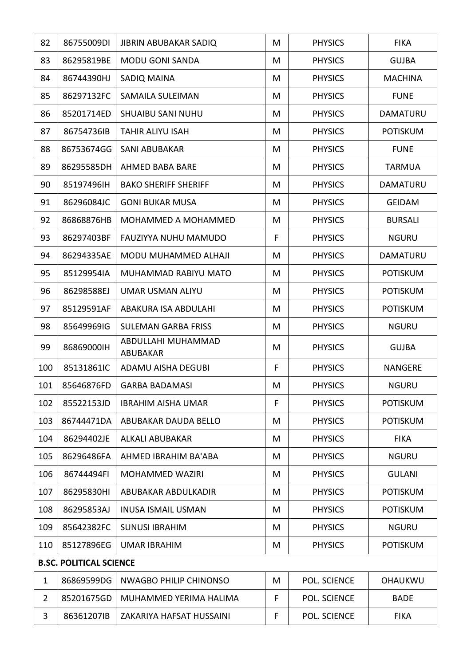| 82             | 86755009DI                     | <b>JIBRIN ABUBAKAR SADIQ</b>          | M | <b>PHYSICS</b>      | <b>FIKA</b>     |
|----------------|--------------------------------|---------------------------------------|---|---------------------|-----------------|
| 83             | 86295819BE                     | <b>MODU GONI SANDA</b>                | M | <b>PHYSICS</b>      | <b>GUJBA</b>    |
| 84             | 86744390HJ                     | SADIQ MAINA                           | M | <b>PHYSICS</b>      | <b>MACHINA</b>  |
| 85             | 86297132FC                     | <b>SAMAILA SULEIMAN</b>               | M | <b>PHYSICS</b>      | <b>FUNE</b>     |
| 86             | 85201714ED                     | <b>SHUAIBU SANI NUHU</b>              | M | <b>PHYSICS</b>      | <b>DAMATURU</b> |
| 87             | 86754736IB                     | <b>TAHIR ALIYU ISAH</b>               | M | <b>PHYSICS</b>      | <b>POTISKUM</b> |
| 88             | 86753674GG                     | <b>SANI ABUBAKAR</b>                  | M | <b>PHYSICS</b>      | <b>FUNE</b>     |
| 89             | 86295585DH                     | AHMED BABA BARE                       | M | <b>PHYSICS</b>      | <b>TARMUA</b>   |
| 90             | 85197496IH                     | <b>BAKO SHERIFF SHERIFF</b>           | M | <b>PHYSICS</b>      | DAMATURU        |
| 91             | 86296084JC                     | <b>GONI BUKAR MUSA</b>                | M | <b>PHYSICS</b>      | <b>GEIDAM</b>   |
| 92             | 86868876HB                     | MOHAMMED A MOHAMMED                   | M | <b>PHYSICS</b>      | <b>BURSALI</b>  |
| 93             | 86297403BF                     | <b>FAUZIYYA NUHU MAMUDO</b>           | F | <b>PHYSICS</b>      | <b>NGURU</b>    |
| 94             | 86294335AE                     | MODU MUHAMMED ALHAJI                  | M | <b>PHYSICS</b>      | DAMATURU        |
| 95             | 85129954IA                     | MUHAMMAD RABIYU MATO                  | M | <b>PHYSICS</b>      | <b>POTISKUM</b> |
| 96             | 86298588EJ                     | <b>UMAR USMAN ALIYU</b>               | M | <b>PHYSICS</b>      | <b>POTISKUM</b> |
| 97             | 85129591AF                     | ABAKURA ISA ABDULAHI                  | M | <b>PHYSICS</b>      | <b>POTISKUM</b> |
| 98             | 85649969IG                     | <b>SULEMAN GARBA FRISS</b>            | M | <b>PHYSICS</b>      | <b>NGURU</b>    |
| 99             | 86869000IH                     | ABDULLAHI MUHAMMAD<br><b>ABUBAKAR</b> | M | <b>PHYSICS</b>      | <b>GUJBA</b>    |
| 100            | 85131861IC                     | ADAMU AISHA DEGUBI                    | F | <b>PHYSICS</b>      | <b>NANGERE</b>  |
| 101            | 85646876FD                     | <b>GARBA BADAMASI</b>                 | M | <b>PHYSICS</b>      | <b>NGURU</b>    |
| 102            | 85522153JD                     | <b>IBRAHIM AISHA UMAR</b>             | F | <b>PHYSICS</b>      | <b>POTISKUM</b> |
| 103            | 86744471DA                     | ABUBAKAR DAUDA BELLO                  | M | <b>PHYSICS</b>      | <b>POTISKUM</b> |
| 104            | 86294402JE                     | <b>ALKALI ABUBAKAR</b>                | M | <b>PHYSICS</b>      | <b>FIKA</b>     |
| 105            | 86296486FA                     | AHMED IBRAHIM BA'ABA                  | M | <b>PHYSICS</b>      | <b>NGURU</b>    |
| 106            | 86744494FI                     | <b>MOHAMMED WAZIRI</b>                | M | <b>PHYSICS</b>      | <b>GULANI</b>   |
| 107            | 86295830HI                     | ABUBAKAR ABDULKADIR                   | M | <b>PHYSICS</b>      | <b>POTISKUM</b> |
| 108            | 86295853AJ                     | <b>INUSA ISMAIL USMAN</b>             | M | <b>PHYSICS</b>      | <b>POTISKUM</b> |
| 109            | 85642382FC                     | <b>SUNUSI IBRAHIM</b>                 | M | <b>PHYSICS</b>      | <b>NGURU</b>    |
| 110            | 85127896EG                     | <b>UMAR IBRAHIM</b>                   | M | <b>PHYSICS</b>      | <b>POTISKUM</b> |
|                | <b>B.SC. POLITICAL SCIENCE</b> |                                       |   |                     |                 |
| $\mathbf{1}$   | 86869599DG                     | <b>NWAGBO PHILIP CHINONSO</b>         | M | <b>POL. SCIENCE</b> | <b>OHAUKWU</b>  |
| $\overline{2}$ | 85201675GD                     | MUHAMMED YERIMA HALIMA                | F | POL. SCIENCE        | <b>BADE</b>     |
| 3              | 86361207IB                     | ZAKARIYA HAFSAT HUSSAINI              | F | <b>POL. SCIENCE</b> | <b>FIKA</b>     |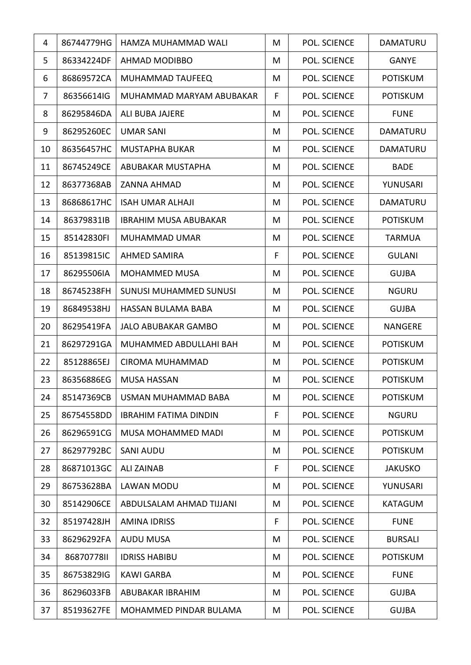| 4  | 86744779HG | HAMZA MUHAMMAD WALI           | M | <b>POL. SCIENCE</b> | <b>DAMATURU</b> |
|----|------------|-------------------------------|---|---------------------|-----------------|
| 5  | 86334224DF | AHMAD MODIBBO                 | M | POL. SCIENCE        | <b>GANYE</b>    |
| 6  | 86869572CA | <b>MUHAMMAD TAUFEEQ</b>       | M | POL. SCIENCE        | <b>POTISKUM</b> |
| 7  | 86356614IG | MUHAMMAD MARYAM ABUBAKAR      | F | POL. SCIENCE        | <b>POTISKUM</b> |
| 8  | 86295846DA | ALI BUBA JAJERE               | M | POL. SCIENCE        | <b>FUNE</b>     |
| 9  | 86295260EC | <b>UMAR SANI</b>              | M | POL. SCIENCE        | <b>DAMATURU</b> |
| 10 | 86356457HC | <b>MUSTAPHA BUKAR</b>         | M | POL. SCIENCE        | <b>DAMATURU</b> |
| 11 | 86745249CE | ABUBAKAR MUSTAPHA             | M | <b>POL. SCIENCE</b> | <b>BADE</b>     |
| 12 | 86377368AB | <b>ZANNA AHMAD</b>            | M | POL. SCIENCE        | YUNUSARI        |
| 13 | 86868617HC | <b>ISAH UMAR ALHAJI</b>       | M | POL. SCIENCE        | DAMATURU        |
| 14 | 86379831IB | <b>IBRAHIM MUSA ABUBAKAR</b>  | M | POL. SCIENCE        | <b>POTISKUM</b> |
| 15 | 85142830FI | MUHAMMAD UMAR                 | M | <b>POL. SCIENCE</b> | <b>TARMUA</b>   |
| 16 | 85139815IC | <b>AHMED SAMIRA</b>           | F | <b>POL. SCIENCE</b> | <b>GULANI</b>   |
| 17 | 86295506IA | <b>MOHAMMED MUSA</b>          | M | POL. SCIENCE        | <b>GUJBA</b>    |
| 18 | 86745238FH | <b>SUNUSI MUHAMMED SUNUSI</b> | M | <b>POL. SCIENCE</b> | <b>NGURU</b>    |
| 19 | 86849538HJ | HASSAN BULAMA BABA            | M | POL. SCIENCE        | <b>GUJBA</b>    |
| 20 | 86295419FA | <b>JALO ABUBAKAR GAMBO</b>    | M | POL. SCIENCE        | <b>NANGERE</b>  |
| 21 | 86297291GA | MUHAMMED ABDULLAHI BAH        | M | POL. SCIENCE        | <b>POTISKUM</b> |
| 22 | 85128865EJ | <b>CIROMA MUHAMMAD</b>        | M | POL. SCIENCE        | <b>POTISKUM</b> |
| 23 | 86356886EG | <b>MUSA HASSAN</b>            | M | POL. SCIENCE        | <b>POTISKUM</b> |
| 24 | 85147369CB | USMAN MUHAMMAD BABA           | M | <b>POL. SCIENCE</b> | <b>POTISKUM</b> |
| 25 | 86754558DD | <b>IBRAHIM FATIMA DINDIN</b>  | F | POL. SCIENCE        | <b>NGURU</b>    |
| 26 | 86296591CG | MUSA MOHAMMED MADI            | M | POL. SCIENCE        | <b>POTISKUM</b> |
| 27 | 86297792BC | <b>SANI AUDU</b>              | M | POL. SCIENCE        | <b>POTISKUM</b> |
| 28 | 86871013GC | <b>ALI ZAINAB</b>             | F | POL. SCIENCE        | <b>JAKUSKO</b>  |
| 29 | 86753628BA | LAWAN MODU                    | M | POL. SCIENCE        | YUNUSARI        |
| 30 | 85142906CE | ABDULSALAM AHMAD TIJJANI      | M | <b>POL. SCIENCE</b> | <b>KATAGUM</b>  |
| 32 | 85197428JH | <b>AMINA IDRISS</b>           | F | POL. SCIENCE        | <b>FUNE</b>     |
| 33 | 86296292FA | <b>AUDU MUSA</b>              | M | POL. SCIENCE        | <b>BURSALI</b>  |
| 34 | 8687077811 | <b>IDRISS HABIBU</b>          | M | POL. SCIENCE        | <b>POTISKUM</b> |
| 35 | 86753829IG | <b>KAWI GARBA</b>             | M | POL. SCIENCE        | <b>FUNE</b>     |
| 36 | 86296033FB | ABUBAKAR IBRAHIM              | M | POL. SCIENCE        | <b>GUJBA</b>    |
| 37 | 85193627FE | MOHAMMED PINDAR BULAMA        | M | POL. SCIENCE        | <b>GUJBA</b>    |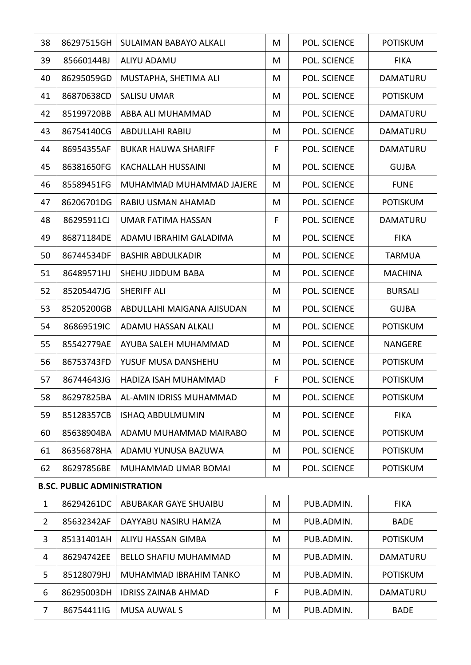| 38             | 86297515GH                         | <b>SULAIMAN BABAYO ALKALI</b> | M | <b>POL. SCIENCE</b> | <b>POTISKUM</b> |
|----------------|------------------------------------|-------------------------------|---|---------------------|-----------------|
| 39             | 85660144BJ                         | <b>ALIYU ADAMU</b>            | M | <b>POL. SCIENCE</b> | <b>FIKA</b>     |
| 40             | 86295059GD                         | MUSTAPHA, SHETIMA ALI         | M | POL. SCIENCE        | DAMATURU        |
| 41             | 86870638CD                         | <b>SALISU UMAR</b>            | M | POL. SCIENCE        | <b>POTISKUM</b> |
| 42             | 85199720BB                         | ABBA ALI MUHAMMAD             | M | POL. SCIENCE        | DAMATURU        |
| 43             | 86754140CG                         | ABDULLAHI RABIU               | M | POL. SCIENCE        | DAMATURU        |
| 44             | 86954355AF                         | <b>BUKAR HAUWA SHARIFF</b>    | F | POL. SCIENCE        | <b>DAMATURU</b> |
| 45             | 86381650FG                         | <b>KACHALLAH HUSSAINI</b>     | M | <b>POL. SCIENCE</b> | <b>GUJBA</b>    |
| 46             | 85589451FG                         | MUHAMMAD MUHAMMAD JAJERE      | M | POL. SCIENCE        | <b>FUNE</b>     |
| 47             | 86206701DG                         | RABIU USMAN AHAMAD            | M | POL. SCIENCE        | <b>POTISKUM</b> |
| 48             | 86295911CJ                         | <b>UMAR FATIMA HASSAN</b>     | F | POL. SCIENCE        | DAMATURU        |
| 49             | 86871184DE                         | ADAMU IBRAHIM GALADIMA        | M | POL. SCIENCE        | <b>FIKA</b>     |
| 50             | 86744534DF                         | <b>BASHIR ABDULKADIR</b>      | M | POL. SCIENCE        | <b>TARMUA</b>   |
| 51             | 86489571HJ                         | SHEHU JIDDUM BABA             | M | POL. SCIENCE        | <b>MACHINA</b>  |
| 52             | 85205447JG                         | <b>SHERIFF ALI</b>            | M | <b>POL. SCIENCE</b> | <b>BURSALI</b>  |
| 53             | 85205200GB                         | ABDULLAHI MAIGANA AJISUDAN    | M | POL. SCIENCE        | <b>GUJBA</b>    |
| 54             | 86869519IC                         | ADAMU HASSAN ALKALI           | M | POL. SCIENCE        | <b>POTISKUM</b> |
| 55             | 85542779AE                         | AYUBA SALEH MUHAMMAD          | M | POL. SCIENCE        | <b>NANGERE</b>  |
| 56             | 86753743FD                         | YUSUF MUSA DANSHEHU           | M | POL. SCIENCE        | <b>POTISKUM</b> |
| 57             | 86744643JG                         | HADIZA ISAH MUHAMMAD          | F | POL. SCIENCE        | <b>POTISKUM</b> |
| 58             | 86297825BA                         | AL-AMIN IDRISS MUHAMMAD       | M | <b>POL. SCIENCE</b> | <b>POTISKUM</b> |
| 59             | 85128357CB                         | <b>ISHAQ ABDULMUMIN</b>       | M | POL. SCIENCE        | <b>FIKA</b>     |
| 60             | 85638904BA                         | ADAMU MUHAMMAD MAIRABO        | M | POL. SCIENCE        | <b>POTISKUM</b> |
| 61             | 86356878HA                         | ADAMU YUNUSA BAZUWA           | M | POL. SCIENCE        | <b>POTISKUM</b> |
| 62             | 86297856BE                         | MUHAMMAD UMAR BOMAI           | M | POL. SCIENCE        | <b>POTISKUM</b> |
|                | <b>B.SC. PUBLIC ADMINISTRATION</b> |                               |   |                     |                 |
| $\mathbf{1}$   | 86294261DC                         | ABUBAKAR GAYE SHUAIBU         | M | PUB.ADMIN.          | <b>FIKA</b>     |
| $\overline{2}$ | 85632342AF                         | DAYYABU NASIRU HAMZA          | M | PUB.ADMIN.          | <b>BADE</b>     |
| 3              | 85131401AH                         | ALIYU HASSAN GIMBA            | M | PUB.ADMIN.          | <b>POTISKUM</b> |
| 4              | 86294742EE                         | <b>BELLO SHAFIU MUHAMMAD</b>  | M | PUB.ADMIN.          | DAMATURU        |
| 5              | 85128079HJ                         | MUHAMMAD IBRAHIM TANKO        | M | PUB.ADMIN.          | <b>POTISKUM</b> |
| 6              | 86295003DH                         | <b>IDRISS ZAINAB AHMAD</b>    | F | PUB.ADMIN.          | DAMATURU        |
| 7              | 86754411IG                         | <b>MUSA AUWAL S</b>           | M | PUB.ADMIN.          | <b>BADE</b>     |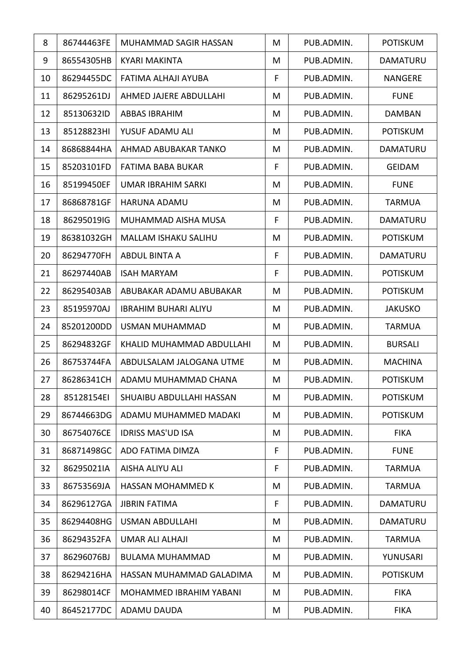| 8  | 86744463FE | MUHAMMAD SAGIR HASSAN       | M | PUB.ADMIN. | <b>POTISKUM</b> |
|----|------------|-----------------------------|---|------------|-----------------|
| 9  | 86554305HB | <b>KYARI MAKINTA</b>        | M | PUB.ADMIN. | <b>DAMATURU</b> |
| 10 | 86294455DC | FATIMA ALHAJI AYUBA         | F | PUB.ADMIN. | <b>NANGERE</b>  |
| 11 | 86295261DJ | AHMED JAJERE ABDULLAHI      | M | PUB.ADMIN. | <b>FUNE</b>     |
| 12 | 85130632ID | ABBAS IBRAHIM               | M | PUB.ADMIN. | <b>DAMBAN</b>   |
| 13 | 85128823HI | YUSUF ADAMU ALI             | M | PUB.ADMIN. | <b>POTISKUM</b> |
| 14 | 86868844HA | AHMAD ABUBAKAR TANKO        | M | PUB.ADMIN. | DAMATURU        |
| 15 | 85203101FD | FATIMA BABA BUKAR           | F | PUB.ADMIN. | <b>GEIDAM</b>   |
| 16 | 85199450EF | <b>UMAR IBRAHIM SARKI</b>   | M | PUB.ADMIN. | <b>FUNE</b>     |
| 17 | 86868781GF | <b>HARUNA ADAMU</b>         | M | PUB.ADMIN. | <b>TARMUA</b>   |
| 18 | 86295019IG | MUHAMMAD AISHA MUSA         | F | PUB.ADMIN. | DAMATURU        |
| 19 | 86381032GH | <b>MALLAM ISHAKU SALIHU</b> | M | PUB.ADMIN. | <b>POTISKUM</b> |
| 20 | 86294770FH | <b>ABDUL BINTA A</b>        | F | PUB.ADMIN. | <b>DAMATURU</b> |
| 21 | 86297440AB | <b>ISAH MARYAM</b>          | F | PUB.ADMIN. | <b>POTISKUM</b> |
| 22 | 86295403AB | ABUBAKAR ADAMU ABUBAKAR     | M | PUB.ADMIN. | <b>POTISKUM</b> |
| 23 | 85195970AJ | <b>IBRAHIM BUHARI ALIYU</b> | M | PUB.ADMIN. | <b>JAKUSKO</b>  |
| 24 | 85201200DD | USMAN MUHAMMAD              | M | PUB.ADMIN. | <b>TARMUA</b>   |
| 25 | 86294832GF | KHALID MUHAMMAD ABDULLAHI   | M | PUB.ADMIN. | <b>BURSALI</b>  |
| 26 | 86753744FA | ABDULSALAM JALOGANA UTME    | M | PUB.ADMIN. | <b>MACHINA</b>  |
| 27 | 86286341CH | ADAMU MUHAMMAD CHANA        | M | PUB.ADMIN. | <b>POTISKUM</b> |
| 28 | 85128154EI | SHUAIBU ABDULLAHI HASSAN    | M | PUB.ADMIN. | <b>POTISKUM</b> |
| 29 | 86744663DG | ADAMU MUHAMMED MADAKI       | M | PUB.ADMIN. | <b>POTISKUM</b> |
| 30 | 86754076CE | <b>IDRISS MAS'UD ISA</b>    | M | PUB.ADMIN. | <b>FIKA</b>     |
| 31 | 86871498GC | ADO FATIMA DIMZA            | F | PUB.ADMIN. | <b>FUNE</b>     |
| 32 | 86295021IA | AISHA ALIYU ALI             | F | PUB.ADMIN. | <b>TARMUA</b>   |
| 33 | 86753569JA | <b>HASSAN MOHAMMED K</b>    | M | PUB.ADMIN. | <b>TARMUA</b>   |
| 34 | 86296127GA | <b>JIBRIN FATIMA</b>        | F | PUB.ADMIN. | <b>DAMATURU</b> |
| 35 | 86294408HG | <b>USMAN ABDULLAHI</b>      | M | PUB.ADMIN. | <b>DAMATURU</b> |
| 36 | 86294352FA | <b>UMAR ALI ALHAJI</b>      | M | PUB.ADMIN. | <b>TARMUA</b>   |
| 37 | 86296076BJ | <b>BULAMA MUHAMMAD</b>      | M | PUB.ADMIN. | YUNUSARI        |
| 38 | 86294216HA | HASSAN MUHAMMAD GALADIMA    | M | PUB.ADMIN. | <b>POTISKUM</b> |
| 39 | 86298014CF | MOHAMMED IBRAHIM YABANI     | M | PUB.ADMIN. | <b>FIKA</b>     |
| 40 | 86452177DC | ADAMU DAUDA                 | M | PUB.ADMIN. | <b>FIKA</b>     |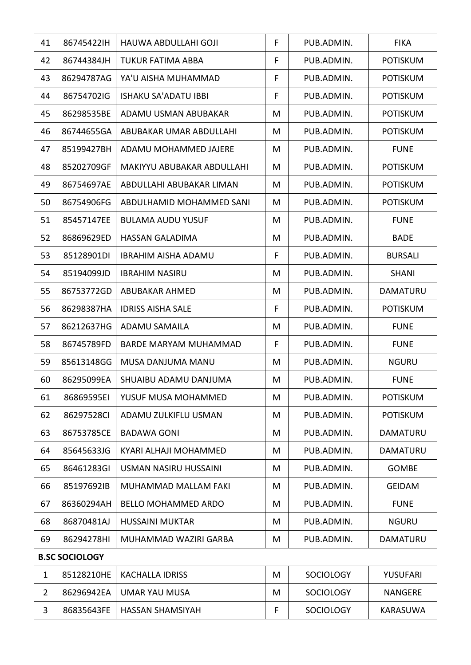| 41             | 867454221H            | HAUWA ABDULLAHI GOJI         | F | PUB.ADMIN.       | <b>FIKA</b>     |
|----------------|-----------------------|------------------------------|---|------------------|-----------------|
| 42             | 86744384JH            | <b>TUKUR FATIMA ABBA</b>     | F | PUB.ADMIN.       | <b>POTISKUM</b> |
| 43             | 86294787AG            | YA'U AISHA MUHAMMAD          | F | PUB.ADMIN.       | <b>POTISKUM</b> |
| 44             | 86754702IG            | <b>ISHAKU SA'ADATU IBBI</b>  | F | PUB.ADMIN.       | <b>POTISKUM</b> |
| 45             | 86298535BE            | ADAMU USMAN ABUBAKAR         | M | PUB.ADMIN.       | <b>POTISKUM</b> |
| 46             | 86744655GA            | ABUBAKAR UMAR ABDULLAHI      | M | PUB.ADMIN.       | <b>POTISKUM</b> |
| 47             | 85199427BH            | ADAMU MOHAMMED JAJERE        | M | PUB.ADMIN.       | <b>FUNE</b>     |
| 48             | 85202709GF            | MAKIYYU ABUBAKAR ABDULLAHI   | M | PUB.ADMIN.       | <b>POTISKUM</b> |
| 49             | 86754697AE            | ABDULLAHI ABUBAKAR LIMAN     | M | PUB.ADMIN.       | <b>POTISKUM</b> |
| 50             | 86754906FG            | ABDULHAMID MOHAMMED SANI     | M | PUB.ADMIN.       | <b>POTISKUM</b> |
| 51             | 85457147EE            | <b>BULAMA AUDU YUSUF</b>     | M | PUB.ADMIN.       | <b>FUNE</b>     |
| 52             | 86869629ED            | <b>HASSAN GALADIMA</b>       | M | PUB.ADMIN.       | <b>BADE</b>     |
| 53             | 85128901DI            | <b>IBRAHIM AISHA ADAMU</b>   | F | PUB.ADMIN.       | <b>BURSALI</b>  |
| 54             | 85194099JD            | <b>IBRAHIM NASIRU</b>        | M | PUB.ADMIN.       | <b>SHANI</b>    |
| 55             | 86753772GD            | ABUBAKAR AHMED               | M | PUB.ADMIN.       | <b>DAMATURU</b> |
| 56             | 86298387HA            | <b>IDRISS AISHA SALE</b>     | F | PUB.ADMIN.       | <b>POTISKUM</b> |
| 57             | 86212637HG            | <b>ADAMU SAMAILA</b>         | M | PUB.ADMIN.       | <b>FUNE</b>     |
| 58             | 86745789FD            | <b>BARDE MARYAM MUHAMMAD</b> | F | PUB.ADMIN.       | <b>FUNE</b>     |
| 59             | 85613148GG            | MUSA DANJUMA MANU            | M | PUB.ADMIN.       | <b>NGURU</b>    |
| 60             | 86295099EA            | SHUAIBU ADAMU DANJUMA        | M | PUB.ADMIN.       | <b>FUNE</b>     |
| 61             | 86869595EI            | YUSUF MUSA MOHAMMED          | M | PUB.ADMIN.       | <b>POTISKUM</b> |
| 62             | 86297528CI            | ADAMU ZULKIFLU USMAN         | M | PUB.ADMIN.       | <b>POTISKUM</b> |
| 63             | 86753785CE            | <b>BADAWA GONI</b>           | M | PUB.ADMIN.       | <b>DAMATURU</b> |
| 64             | 85645633JG            | KYARI ALHAJI MOHAMMED        | M | PUB.ADMIN.       | DAMATURU        |
| 65             | 86461283GI            | <b>USMAN NASIRU HUSSAINI</b> | M | PUB.ADMIN.       | <b>GOMBE</b>    |
| 66             | 85197692IB            | MUHAMMAD MALLAM FAKI         | M | PUB.ADMIN.       | <b>GEIDAM</b>   |
| 67             | 86360294AH            | <b>BELLO MOHAMMED ARDO</b>   | M | PUB.ADMIN.       | <b>FUNE</b>     |
| 68             | 86870481AJ            | <b>HUSSAINI MUKTAR</b>       | M | PUB.ADMIN.       | <b>NGURU</b>    |
| 69             | 86294278HI            | MUHAMMAD WAZIRI GARBA        | M | PUB.ADMIN.       | DAMATURU        |
|                | <b>B.SC SOCIOLOGY</b> |                              |   |                  |                 |
| $\mathbf{1}$   | 85128210HE            | <b>KACHALLA IDRISS</b>       | M | <b>SOCIOLOGY</b> | <b>YUSUFARI</b> |
| $\overline{2}$ | 86296942EA            | <b>UMAR YAU MUSA</b>         | M | <b>SOCIOLOGY</b> | <b>NANGERE</b>  |
| 3              | 86835643FE            | <b>HASSAN SHAMSIYAH</b>      | F | <b>SOCIOLOGY</b> | <b>KARASUWA</b> |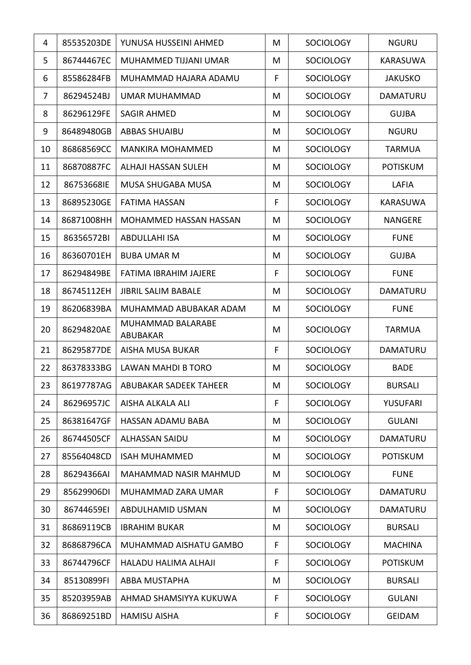| 4  | 85535203DE | YUNUSA HUSSEINI AHMED               | M           | <b>SOCIOLOGY</b> | <b>NGURU</b>    |
|----|------------|-------------------------------------|-------------|------------------|-----------------|
| 5  | 86744467EC | MUHAMMED TIJJANI UMAR               | M           | <b>SOCIOLOGY</b> | <b>KARASUWA</b> |
| 6  | 85586284FB | MUHAMMAD HAJARA ADAMU               | F           | <b>SOCIOLOGY</b> | <b>JAKUSKO</b>  |
| 7  | 86294524BJ | <b>UMAR MUHAMMAD</b>                | M           | <b>SOCIOLOGY</b> | DAMATURU        |
| 8  | 86296129FE | <b>SAGIR AHMED</b>                  | M           | <b>SOCIOLOGY</b> | <b>GUJBA</b>    |
| 9  | 86489480GB | <b>ABBAS SHUAIBU</b>                | M           | <b>SOCIOLOGY</b> | <b>NGURU</b>    |
| 10 | 86868569CC | <b>MANKIRA MOHAMMED</b>             | M           | <b>SOCIOLOGY</b> | <b>TARMUA</b>   |
| 11 | 86870887FC | <b>ALHAJI HASSAN SULEH</b>          | M           | <b>SOCIOLOGY</b> | <b>POTISKUM</b> |
| 12 | 86753668IE | MUSA SHUGABA MUSA                   | M           | <b>SOCIOLOGY</b> | LAFIA           |
| 13 | 86895230GE | <b>FATIMA HASSAN</b>                | F           | <b>SOCIOLOGY</b> | <b>KARASUWA</b> |
| 14 | 86871008HH | MOHAMMED HASSAN HASSAN              | M           | <b>SOCIOLOGY</b> | <b>NANGERE</b>  |
| 15 | 86356572BI | <b>ABDULLAHI ISA</b>                | M           | <b>SOCIOLOGY</b> | <b>FUNE</b>     |
| 16 | 86360701EH | <b>BUBA UMAR M</b>                  | M           | <b>SOCIOLOGY</b> | <b>GUJBA</b>    |
| 17 | 86294849BE | FATIMA IBRAHIM JAJERE               | F           | <b>SOCIOLOGY</b> | <b>FUNE</b>     |
| 18 | 86745112EH | <b>JIBRIL SALIM BABALE</b>          | M           | <b>SOCIOLOGY</b> | <b>DAMATURU</b> |
| 19 | 86206839BA | MUHAMMAD ABUBAKAR ADAM              | M           | <b>SOCIOLOGY</b> | <b>FUNE</b>     |
| 20 | 86294820AE | MUHAMMAD BALARABE<br>ABUBAKAR       | M           | <b>SOCIOLOGY</b> | <b>TARMUA</b>   |
| 21 | 86295877DE | <b>AISHA MUSA BUKAR</b>             | F           | <b>SOCIOLOGY</b> | <b>DAMATURU</b> |
| 22 | 86378333BG | LAWAN MAHDI B TORO                  | M           | <b>SOCIOLOGY</b> | <b>BADE</b>     |
| 23 |            | 86197787AG   ABUBAKAR SADEEK TAHEER | M           | SOCIOLOGY        | <b>BURSALI</b>  |
| 24 | 86296957JC | AISHA ALKALA ALI                    | F           | <b>SOCIOLOGY</b> | <b>YUSUFARI</b> |
| 25 | 86381647GF | <b>HASSAN ADAMU BABA</b>            | M           | <b>SOCIOLOGY</b> | <b>GULANI</b>   |
| 26 | 86744505CF | <b>ALHASSAN SAIDU</b>               | M           | <b>SOCIOLOGY</b> | DAMATURU        |
| 27 | 85564048CD | <b>ISAH MUHAMMED</b>                | M           | <b>SOCIOLOGY</b> | <b>POTISKUM</b> |
| 28 | 86294366AI | MAHAMMAD NASIR MAHMUD               | M           | <b>SOCIOLOGY</b> | <b>FUNE</b>     |
| 29 | 85629906DI | MUHAMMAD ZARA UMAR                  | F           | <b>SOCIOLOGY</b> | <b>DAMATURU</b> |
| 30 | 86744659EI | ABDULHAMID USMAN                    | M           | <b>SOCIOLOGY</b> | DAMATURU        |
| 31 | 86869119CB | <b>IBRAHIM BUKAR</b>                | M           | <b>SOCIOLOGY</b> | <b>BURSALI</b>  |
| 32 | 86868796CA | MUHAMMAD AISHATU GAMBO              | $\mathsf F$ | <b>SOCIOLOGY</b> | <b>MACHINA</b>  |
| 33 | 86744796CF | HALADU HALIMA ALHAJI                | F           | <b>SOCIOLOGY</b> | <b>POTISKUM</b> |
| 34 | 85130899FI | <b>ABBA MUSTAPHA</b>                | M           | <b>SOCIOLOGY</b> | <b>BURSALI</b>  |
| 35 | 85203959AB | AHMAD SHAMSIYYA KUKUWA              | F           | <b>SOCIOLOGY</b> | <b>GULANI</b>   |
| 36 | 86869251BD | <b>HAMISU AISHA</b>                 | F           | <b>SOCIOLOGY</b> | <b>GEIDAM</b>   |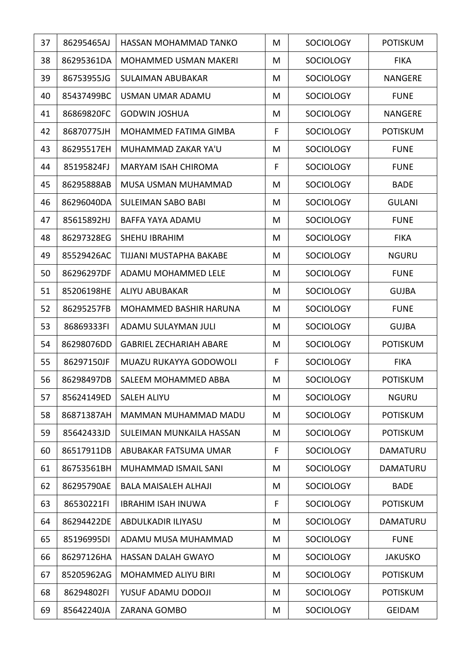| 37 | 86295465AJ | HASSAN MOHAMMAD TANKO          | M | <b>SOCIOLOGY</b> | <b>POTISKUM</b> |
|----|------------|--------------------------------|---|------------------|-----------------|
| 38 | 86295361DA | <b>MOHAMMED USMAN MAKERI</b>   | M | <b>SOCIOLOGY</b> | <b>FIKA</b>     |
| 39 | 86753955JG | <b>SULAIMAN ABUBAKAR</b>       | M | <b>SOCIOLOGY</b> | <b>NANGERE</b>  |
| 40 | 85437499BC | USMAN UMAR ADAMU               | M | <b>SOCIOLOGY</b> | <b>FUNE</b>     |
| 41 | 86869820FC | <b>GODWIN JOSHUA</b>           | M | <b>SOCIOLOGY</b> | <b>NANGERE</b>  |
| 42 | 86870775JH | <b>MOHAMMED FATIMA GIMBA</b>   | F | <b>SOCIOLOGY</b> | <b>POTISKUM</b> |
| 43 | 86295517EH | MUHAMMAD ZAKAR YA'U            | M | <b>SOCIOLOGY</b> | <b>FUNE</b>     |
| 44 | 85195824FJ | <b>MARYAM ISAH CHIROMA</b>     | F | <b>SOCIOLOGY</b> | <b>FUNE</b>     |
| 45 | 86295888AB | MUSA USMAN MUHAMMAD            | M | <b>SOCIOLOGY</b> | <b>BADE</b>     |
| 46 | 86296040DA | <b>SULEIMAN SABO BABI</b>      | M | <b>SOCIOLOGY</b> | <b>GULANI</b>   |
| 47 | 85615892HJ | BAFFA YAYA ADAMU               | M | <b>SOCIOLOGY</b> | <b>FUNE</b>     |
| 48 | 86297328EG | SHEHU IBRAHIM                  | M | <b>SOCIOLOGY</b> | <b>FIKA</b>     |
| 49 | 85529426AC | <b>TIJJANI MUSTAPHA BAKABE</b> | M | <b>SOCIOLOGY</b> | <b>NGURU</b>    |
| 50 | 86296297DF | ADAMU MOHAMMED LELE            | M | <b>SOCIOLOGY</b> | <b>FUNE</b>     |
| 51 | 85206198HE | ALIYU ABUBAKAR                 | M | <b>SOCIOLOGY</b> | <b>GUJBA</b>    |
| 52 | 86295257FB | MOHAMMED BASHIR HARUNA         | M | <b>SOCIOLOGY</b> | <b>FUNE</b>     |
| 53 | 86869333FI | ADAMU SULAYMAN JULI            | M | <b>SOCIOLOGY</b> | <b>GUJBA</b>    |
| 54 | 86298076DD | <b>GABRIEL ZECHARIAH ABARE</b> | M | <b>SOCIOLOGY</b> | <b>POTISKUM</b> |
| 55 | 86297150JF | MUAZU RUKAYYA GODOWOLI         | F | <b>SOCIOLOGY</b> | <b>FIKA</b>     |
| 56 | 86298497DB | SALEEM MOHAMMED ABBA           | M | <b>SOCIOLOGY</b> | <b>POTISKUM</b> |
| 57 | 85624149ED | <b>SALEH ALIYU</b>             | M | <b>SOCIOLOGY</b> | <b>NGURU</b>    |
| 58 | 86871387AH | MAMMAN MUHAMMAD MADU           | M | <b>SOCIOLOGY</b> | <b>POTISKUM</b> |
| 59 | 85642433JD | SULEIMAN MUNKAILA HASSAN       | M | <b>SOCIOLOGY</b> | <b>POTISKUM</b> |
| 60 | 86517911DB | ABUBAKAR FATSUMA UMAR          | F | <b>SOCIOLOGY</b> | DAMATURU        |
| 61 | 86753561BH | <b>MUHAMMAD ISMAIL SANI</b>    | M | <b>SOCIOLOGY</b> | DAMATURU        |
| 62 | 86295790AE | <b>BALA MAISALEH ALHAJI</b>    | M | <b>SOCIOLOGY</b> | <b>BADE</b>     |
| 63 | 86530221FI | <b>IBRAHIM ISAH INUWA</b>      | F | <b>SOCIOLOGY</b> | <b>POTISKUM</b> |
| 64 | 86294422DE | ABDULKADIR ILIYASU             | M | <b>SOCIOLOGY</b> | DAMATURU        |
| 65 | 85196995DI | ADAMU MUSA MUHAMMAD            | M | <b>SOCIOLOGY</b> | <b>FUNE</b>     |
| 66 | 86297126HA | <b>HASSAN DALAH GWAYO</b>      | M | <b>SOCIOLOGY</b> | <b>JAKUSKO</b>  |
| 67 | 85205962AG | <b>MOHAMMED ALIYU BIRI</b>     | M | <b>SOCIOLOGY</b> | <b>POTISKUM</b> |
| 68 | 86294802FI | YUSUF ADAMU DODOJI             | M | <b>SOCIOLOGY</b> | <b>POTISKUM</b> |
| 69 | 85642240JA | ZARANA GOMBO                   | M | <b>SOCIOLOGY</b> | <b>GEIDAM</b>   |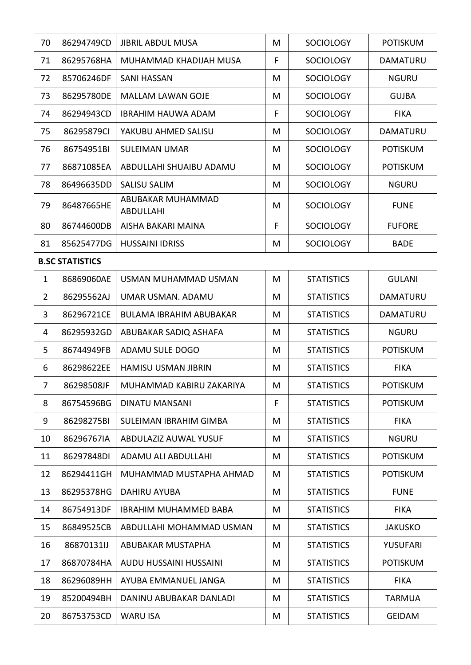| 70             | 86294749CD             | <b>JIBRIL ABDUL MUSA</b>       | M | <b>SOCIOLOGY</b>  | <b>POTISKUM</b> |  |  |  |
|----------------|------------------------|--------------------------------|---|-------------------|-----------------|--|--|--|
| 71             | 86295768HA             | MUHAMMAD KHADIJAH MUSA         | F | <b>SOCIOLOGY</b>  | DAMATURU        |  |  |  |
| 72             | 85706246DF             | <b>SANI HASSAN</b>             | M | <b>SOCIOLOGY</b>  | <b>NGURU</b>    |  |  |  |
| 73             | 86295780DE             | <b>MALLAM LAWAN GOJE</b>       | M | <b>SOCIOLOGY</b>  | <b>GUJBA</b>    |  |  |  |
| 74             | 86294943CD             | <b>IBRAHIM HAUWA ADAM</b>      | F | <b>SOCIOLOGY</b>  | <b>FIKA</b>     |  |  |  |
| 75             | 86295879CI             | YAKUBU AHMED SALISU            | M | <b>SOCIOLOGY</b>  | DAMATURU        |  |  |  |
| 76             | 86754951BI             | <b>SULEIMAN UMAR</b>           | M | <b>SOCIOLOGY</b>  | <b>POTISKUM</b> |  |  |  |
| 77             | 86871085EA             | ABDULLAHI SHUAIBU ADAMU        | M | <b>SOCIOLOGY</b>  | <b>POTISKUM</b> |  |  |  |
| 78             | 86496635DD             | <b>SALISU SALIM</b>            | M | <b>SOCIOLOGY</b>  | <b>NGURU</b>    |  |  |  |
| 79             | 86487665HE             | ABUBAKAR MUHAMMAD<br>ABDULLAHI | M | <b>SOCIOLOGY</b>  | <b>FUNE</b>     |  |  |  |
| 80             | 86744600DB             | AISHA BAKARI MAINA             | F | <b>SOCIOLOGY</b>  | <b>FUFORE</b>   |  |  |  |
| 81             | 85625477DG             | <b>HUSSAINI IDRISS</b>         | M | <b>SOCIOLOGY</b>  | <b>BADE</b>     |  |  |  |
|                | <b>B.SC STATISTICS</b> |                                |   |                   |                 |  |  |  |
| $\mathbf{1}$   | 86869060AE             | USMAN MUHAMMAD USMAN           | M | <b>STATISTICS</b> | <b>GULANI</b>   |  |  |  |
| $\overline{2}$ | 86295562AJ             | UMAR USMAN. ADAMU              | M | <b>STATISTICS</b> | DAMATURU        |  |  |  |
| 3              | 86296721CE             | <b>BULAMA IBRAHIM ABUBAKAR</b> | M | <b>STATISTICS</b> | <b>DAMATURU</b> |  |  |  |
| 4              | 86295932GD             | ABUBAKAR SADIQ ASHAFA          | M | <b>STATISTICS</b> | <b>NGURU</b>    |  |  |  |
| 5              | 86744949FB             | ADAMU SULE DOGO                | M | <b>STATISTICS</b> | <b>POTISKUM</b> |  |  |  |
| 6              | 86298622EE             | <b>HAMISU USMAN JIBRIN</b>     | M | <b>STATISTICS</b> | <b>FIKA</b>     |  |  |  |
| 7              | 86298508JF             | MUHAMMAD KABIRU ZAKARIYA       | M | <b>STATISTICS</b> | <b>POTISKUM</b> |  |  |  |
| 8              | 86754596BG             | <b>DINATU MANSANI</b>          | F | <b>STATISTICS</b> | <b>POTISKUM</b> |  |  |  |
| 9              | 86298275BI             | SULEIMAN IBRAHIM GIMBA         | M | <b>STATISTICS</b> | <b>FIKA</b>     |  |  |  |
| 10             | 86296767IA             | ABDULAZIZ AUWAL YUSUF          | M | <b>STATISTICS</b> | <b>NGURU</b>    |  |  |  |
| 11             | 86297848DI             | <b>ADAMU ALI ABDULLAHI</b>     | M | <b>STATISTICS</b> | <b>POTISKUM</b> |  |  |  |
| 12             | 86294411GH             | MUHAMMAD MUSTAPHA AHMAD        | M | <b>STATISTICS</b> | <b>POTISKUM</b> |  |  |  |
| 13             | 86295378HG             | DAHIRU AYUBA                   | M | <b>STATISTICS</b> | <b>FUNE</b>     |  |  |  |
| 14             | 86754913DF             | <b>IBRAHIM MUHAMMED BABA</b>   | M | <b>STATISTICS</b> | <b>FIKA</b>     |  |  |  |
| 15             | 86849525CB             | ABDULLAHI MOHAMMAD USMAN       | M | <b>STATISTICS</b> | <b>JAKUSKO</b>  |  |  |  |
| 16             | 86870131IJ             | ABUBAKAR MUSTAPHA              | M | <b>STATISTICS</b> | <b>YUSUFARI</b> |  |  |  |
| 17             | 86870784HA             | AUDU HUSSAINI HUSSAINI         | M | <b>STATISTICS</b> | <b>POTISKUM</b> |  |  |  |
| 18             | 86296089HH             | AYUBA EMMANUEL JANGA           | M | <b>STATISTICS</b> | <b>FIKA</b>     |  |  |  |
| 19             | 85200494BH             | DANINU ABUBAKAR DANLADI        | M | <b>STATISTICS</b> | <b>TARMUA</b>   |  |  |  |
| 20             | 86753753CD             | <b>WARU ISA</b>                | M | <b>STATISTICS</b> | <b>GEIDAM</b>   |  |  |  |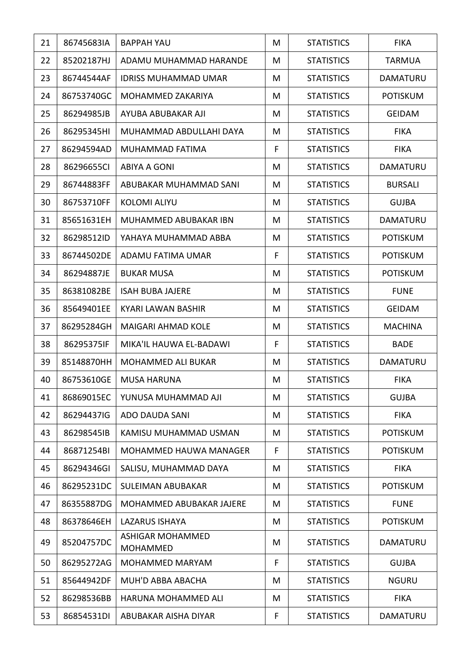| 21 | 86745683IA | <b>BAPPAH YAU</b>                   | M | <b>STATISTICS</b> | <b>FIKA</b>     |
|----|------------|-------------------------------------|---|-------------------|-----------------|
| 22 | 85202187HJ | ADAMU MUHAMMAD HARANDE              | M | <b>STATISTICS</b> | <b>TARMUA</b>   |
| 23 | 86744544AF | <b>IDRISS MUHAMMAD UMAR</b>         | M | <b>STATISTICS</b> | DAMATURU        |
| 24 | 86753740GC | MOHAMMED ZAKARIYA                   | M | <b>STATISTICS</b> | <b>POTISKUM</b> |
| 25 | 86294985JB | AYUBA ABUBAKAR AJI                  | M | <b>STATISTICS</b> | <b>GEIDAM</b>   |
| 26 | 86295345HI | MUHAMMAD ABDULLAHI DAYA             | M | <b>STATISTICS</b> | <b>FIKA</b>     |
| 27 | 86294594AD | MUHAMMAD FATIMA                     | F | <b>STATISTICS</b> | <b>FIKA</b>     |
| 28 | 86296655CI | ABIYA A GONI                        | M | <b>STATISTICS</b> | <b>DAMATURU</b> |
| 29 | 86744883FF | ABUBAKAR MUHAMMAD SANI              | M | <b>STATISTICS</b> | <b>BURSALI</b>  |
| 30 | 86753710FF | <b>KOLOMI ALIYU</b>                 | M | <b>STATISTICS</b> | <b>GUJBA</b>    |
| 31 | 85651631EH | MUHAMMED ABUBAKAR IBN               | M | <b>STATISTICS</b> | DAMATURU        |
| 32 | 86298512ID | YAHAYA MUHAMMAD ABBA                | M | <b>STATISTICS</b> | <b>POTISKUM</b> |
| 33 | 86744502DE | ADAMU FATIMA UMAR                   | F | <b>STATISTICS</b> | <b>POTISKUM</b> |
| 34 | 86294887JE | <b>BUKAR MUSA</b>                   | M | <b>STATISTICS</b> | <b>POTISKUM</b> |
| 35 | 86381082BE | <b>ISAH BUBA JAJERE</b>             | M | <b>STATISTICS</b> | <b>FUNE</b>     |
| 36 | 85649401EE | KYARI LAWAN BASHIR                  | M | <b>STATISTICS</b> | <b>GEIDAM</b>   |
| 37 | 86295284GH | <b>MAIGARI AHMAD KOLE</b>           | M | <b>STATISTICS</b> | <b>MACHINA</b>  |
| 38 | 86295375IF | MIKA'IL HAUWA EL-BADAWI             | F | <b>STATISTICS</b> | <b>BADE</b>     |
| 39 | 85148870HH | <b>MOHAMMED ALI BUKAR</b>           | M | <b>STATISTICS</b> | <b>DAMATURU</b> |
| 40 | 86753610GE | <b>MUSA HARUNA</b>                  | M | <b>STATISTICS</b> | <b>FIKA</b>     |
| 41 | 86869015EC | YUNUSA MUHAMMAD AJI                 | M | <b>STATISTICS</b> | <b>GUJBA</b>    |
| 42 | 86294437IG | ADO DAUDA SANI                      | M | <b>STATISTICS</b> | <b>FIKA</b>     |
| 43 | 86298545IB | KAMISU MUHAMMAD USMAN               | M | <b>STATISTICS</b> | <b>POTISKUM</b> |
| 44 | 86871254BI | <b>MOHAMMED HAUWA MANAGER</b>       | F | <b>STATISTICS</b> | <b>POTISKUM</b> |
| 45 | 86294346GI | SALISU, MUHAMMAD DAYA               | M | <b>STATISTICS</b> | <b>FIKA</b>     |
| 46 | 86295231DC | <b>SULEIMAN ABUBAKAR</b>            | M | <b>STATISTICS</b> | <b>POTISKUM</b> |
| 47 | 86355887DG | MOHAMMED ABUBAKAR JAJERE            | M | <b>STATISTICS</b> | <b>FUNE</b>     |
| 48 | 86378646EH | <b>LAZARUS ISHAYA</b>               | M | <b>STATISTICS</b> | <b>POTISKUM</b> |
| 49 | 85204757DC | ASHIGAR MOHAMMED<br><b>MOHAMMED</b> | M | <b>STATISTICS</b> | DAMATURU        |
| 50 | 86295272AG | <b>MOHAMMED MARYAM</b>              | F | <b>STATISTICS</b> | <b>GUJBA</b>    |
| 51 | 85644942DF | MUH'D ABBA ABACHA                   | M | <b>STATISTICS</b> | <b>NGURU</b>    |
| 52 | 86298536BB | HARUNA MOHAMMED ALI                 | M | <b>STATISTICS</b> | <b>FIKA</b>     |
| 53 | 86854531DI | ABUBAKAR AISHA DIYAR                | F | <b>STATISTICS</b> | DAMATURU        |